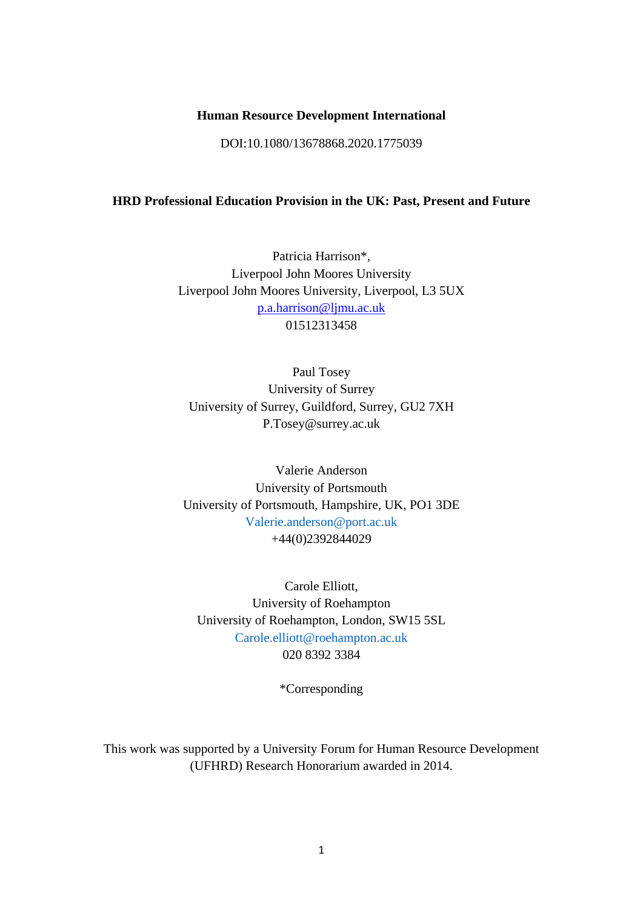### **Human Resource Development International**

DOI:10.1080/13678868.2020.1775039

## **HRD Professional Education Provision in the UK: Past, Present and Future**

Patricia Harrison\*, Liverpool John Moores University Liverpool John Moores University, Liverpool, L3 5UX [p.a.harrison@ljmu.ac.uk](mailto:p.a.harrison@ljmu.ac.uk) 01512313458

Paul Tosey University of Surrey University of Surrey, Guildford, Surrey, GU2 7XH P.Tosey@surrey.ac.uk

Valerie Anderson University of Portsmouth University of Portsmouth, Hampshire, UK, PO1 3DE Valerie.anderson@port.ac.uk +44(0)2392844029

Carole Elliott, University of Roehampton University of Roehampton, London, SW15 5SL Carole.elliott@roehampton.ac.uk 020 8392 3384

\*Corresponding

This work was supported by a University Forum for Human Resource Development (UFHRD) Research Honorarium awarded in 2014.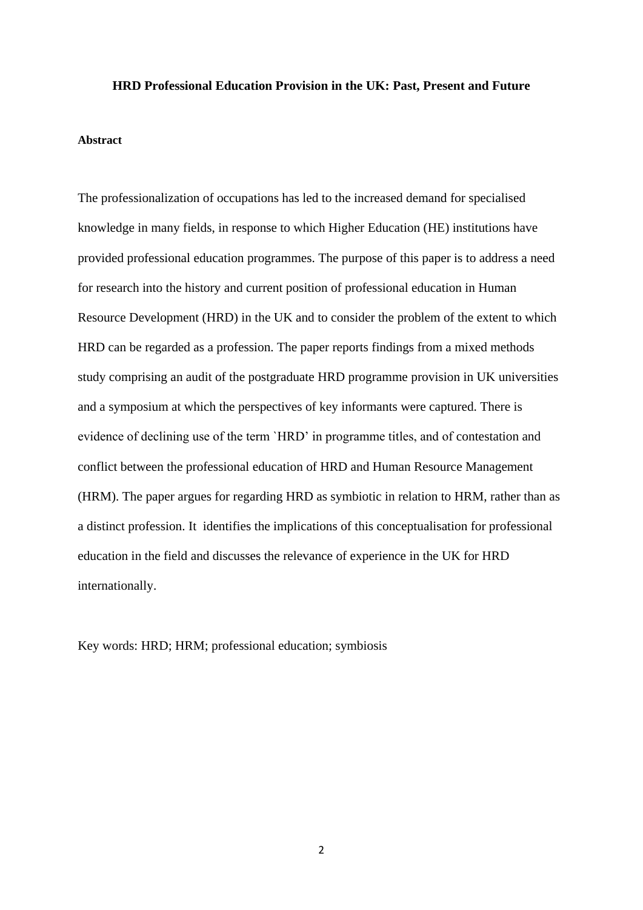#### **HRD Professional Education Provision in the UK: Past, Present and Future**

### **Abstract**

The professionalization of occupations has led to the increased demand for specialised knowledge in many fields, in response to which Higher Education (HE) institutions have provided professional education programmes. The purpose of this paper is to address a need for research into the history and current position of professional education in Human Resource Development (HRD) in the UK and to consider the problem of the extent to which HRD can be regarded as a profession. The paper reports findings from a mixed methods study comprising an audit of the postgraduate HRD programme provision in UK universities and a symposium at which the perspectives of key informants were captured. There is evidence of declining use of the term `HRD' in programme titles, and of contestation and conflict between the professional education of HRD and Human Resource Management (HRM). The paper argues for regarding HRD as symbiotic in relation to HRM, rather than as a distinct profession. It identifies the implications of this conceptualisation for professional education in the field and discusses the relevance of experience in the UK for HRD internationally.

Key words: HRD; HRM; professional education; symbiosis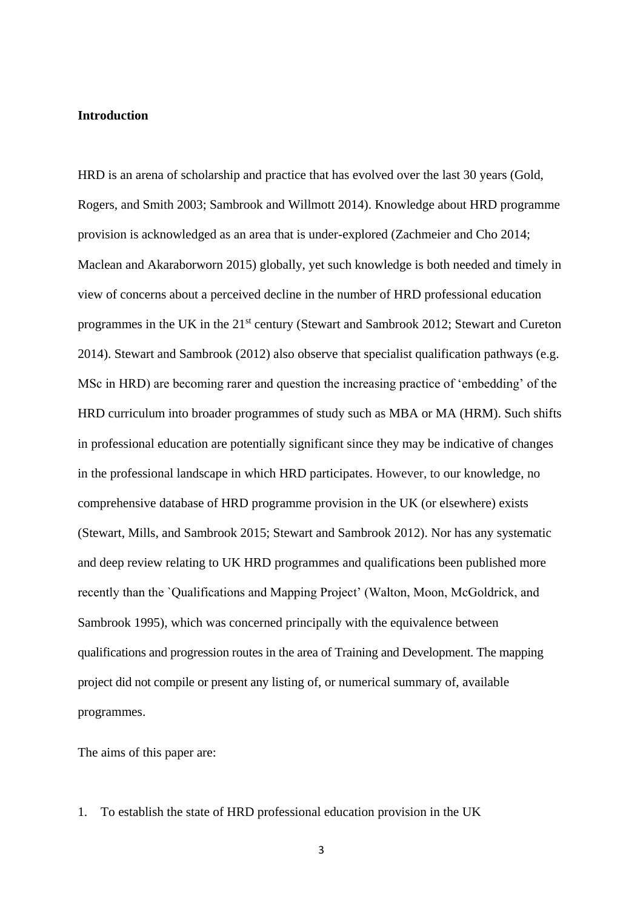### **Introduction**

HRD is an arena of scholarship and practice that has evolved over the last 30 years (Gold, Rogers, and Smith 2003; Sambrook and Willmott 2014). Knowledge about HRD programme provision is acknowledged as an area that is under-explored (Zachmeier and Cho 2014; Maclean and Akaraborworn 2015) globally, yet such knowledge is both needed and timely in view of concerns about a perceived decline in the number of HRD professional education programmes in the UK in the 21<sup>st</sup> century (Stewart and Sambrook 2012; Stewart and Cureton 2014). Stewart and Sambrook (2012) also observe that specialist qualification pathways (e.g. MSc in HRD) are becoming rarer and question the increasing practice of 'embedding' of the HRD curriculum into broader programmes of study such as MBA or MA (HRM). Such shifts in professional education are potentially significant since they may be indicative of changes in the professional landscape in which HRD participates. However, to our knowledge, no comprehensive database of HRD programme provision in the UK (or elsewhere) exists (Stewart, Mills, and Sambrook 2015; Stewart and Sambrook 2012). Nor has any systematic and deep review relating to UK HRD programmes and qualifications been published more recently than the `Qualifications and Mapping Project' (Walton, Moon, McGoldrick, and Sambrook 1995), which was concerned principally with the equivalence between qualifications and progression routes in the area of Training and Development. The mapping project did not compile or present any listing of, or numerical summary of, available programmes.

The aims of this paper are:

1. To establish the state of HRD professional education provision in the UK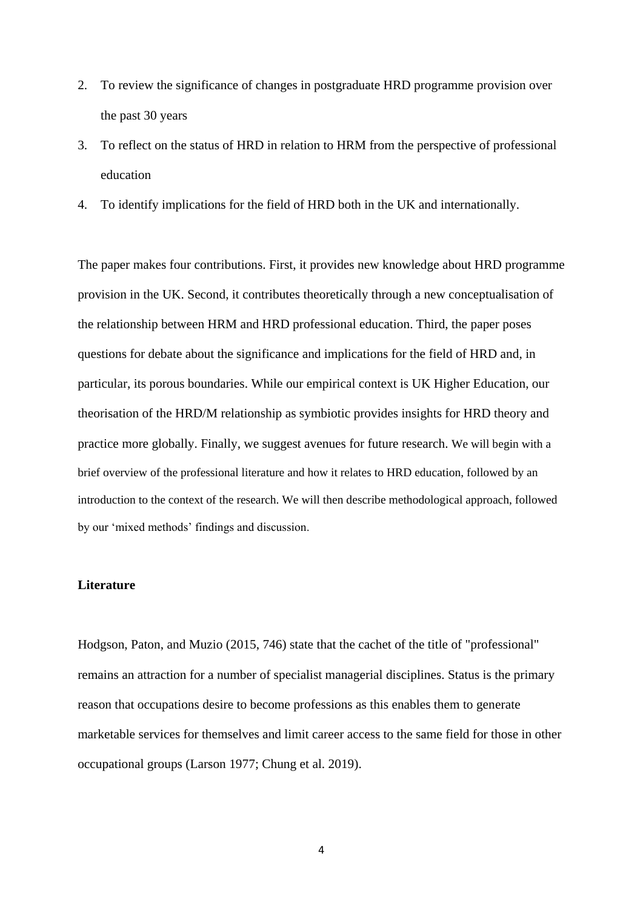- 2. To review the significance of changes in postgraduate HRD programme provision over the past 30 years
- 3. To reflect on the status of HRD in relation to HRM from the perspective of professional education
- 4. To identify implications for the field of HRD both in the UK and internationally.

The paper makes four contributions. First, it provides new knowledge about HRD programme provision in the UK. Second, it contributes theoretically through a new conceptualisation of the relationship between HRM and HRD professional education. Third, the paper poses questions for debate about the significance and implications for the field of HRD and, in particular, its porous boundaries. While our empirical context is UK Higher Education, our theorisation of the HRD/M relationship as symbiotic provides insights for HRD theory and practice more globally. Finally, we suggest avenues for future research. We will begin with a brief overview of the professional literature and how it relates to HRD education, followed by an introduction to the context of the research. We will then describe methodological approach, followed by our 'mixed methods' findings and discussion.

## **Literature**

Hodgson, Paton, and Muzio (2015, 746) state that the cachet of the title of "professional" remains an attraction for a number of specialist managerial disciplines. Status is the primary reason that occupations desire to become professions as this enables them to generate marketable services for themselves and limit career access to the same field for those in other occupational groups (Larson 1977; Chung et al. 2019).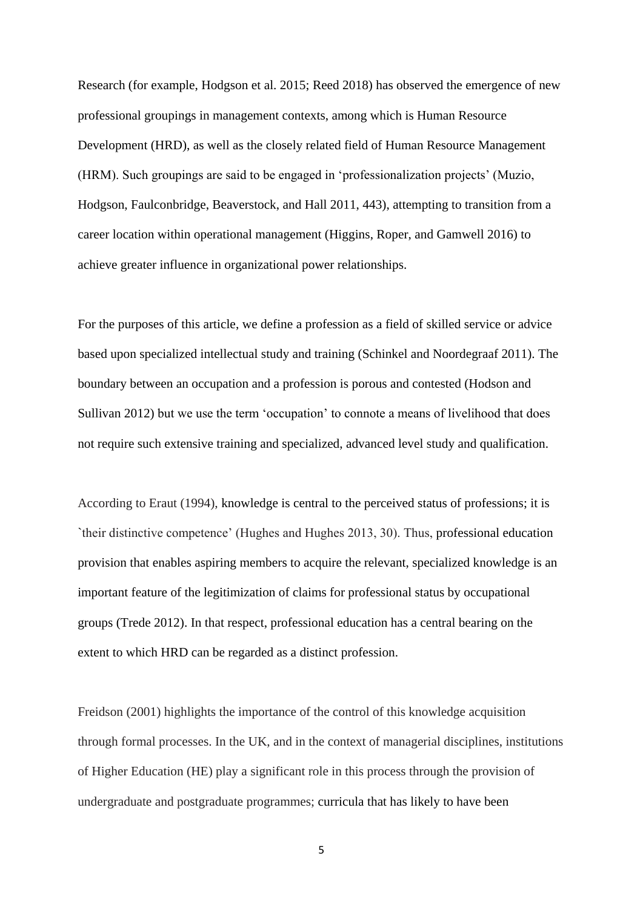Research (for example, Hodgson et al. 2015; Reed 2018) has observed the emergence of new professional groupings in management contexts, among which is Human Resource Development (HRD), as well as the closely related field of Human Resource Management (HRM). Such groupings are said to be engaged in 'professionalization projects' (Muzio, Hodgson, Faulconbridge, Beaverstock, and Hall 2011, 443), attempting to transition from a career location within operational management (Higgins, Roper, and Gamwell 2016) to achieve greater influence in organizational power relationships.

For the purposes of this article, we define a profession as a field of skilled service or advice based upon specialized intellectual study and training (Schinkel and Noordegraaf 2011). The boundary between an occupation and a profession is porous and contested (Hodson and Sullivan 2012) but we use the term 'occupation' to connote a means of livelihood that does not require such extensive training and specialized, advanced level study and qualification.

According to Eraut (1994), knowledge is central to the perceived status of professions; it is `their distinctive competence' (Hughes and Hughes 2013, 30). Thus, professional education provision that enables aspiring members to acquire the relevant, specialized knowledge is an important feature of the legitimization of claims for professional status by occupational groups (Trede 2012). In that respect, professional education has a central bearing on the extent to which HRD can be regarded as a distinct profession.

Freidson (2001) highlights the importance of the control of this knowledge acquisition through formal processes. In the UK, and in the context of managerial disciplines, institutions of Higher Education (HE) play a significant role in this process through the provision of undergraduate and postgraduate programmes; curricula that has likely to have been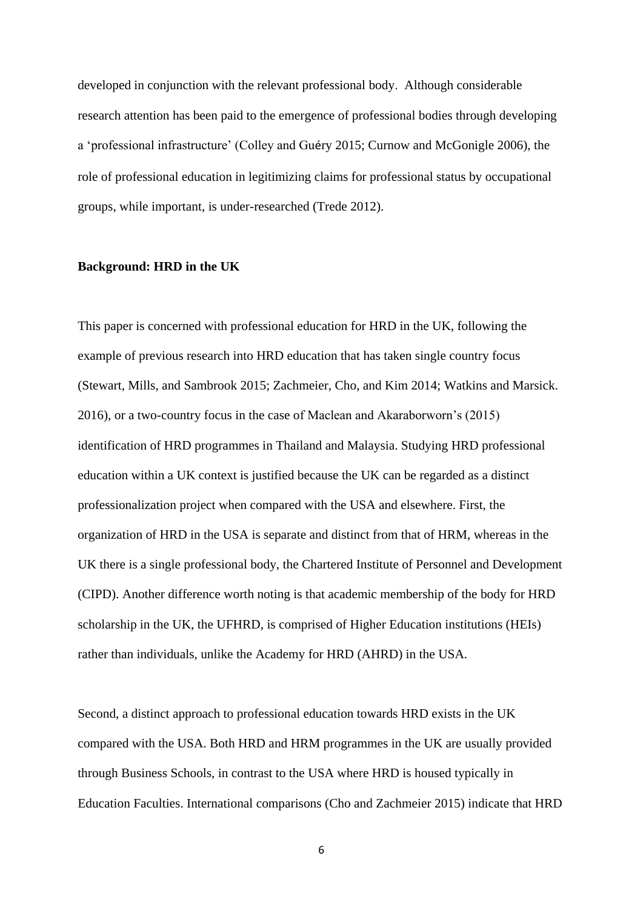developed in conjunction with the relevant professional body. Although considerable research attention has been paid to the emergence of professional bodies through developing a 'professional infrastructure' (Colley and Guéry 2015; Curnow and McGonigle 2006), the role of professional education in legitimizing claims for professional status by occupational groups, while important, is under-researched (Trede 2012).

### **Background: HRD in the UK**

This paper is concerned with professional education for HRD in the UK, following the example of previous research into HRD education that has taken single country focus (Stewart, Mills, and Sambrook 2015; Zachmeier, Cho, and Kim 2014; Watkins and Marsick. 2016), or a two-country focus in the case of Maclean and Akaraborworn's (2015) identification of HRD programmes in Thailand and Malaysia. Studying HRD professional education within a UK context is justified because the UK can be regarded as a distinct professionalization project when compared with the USA and elsewhere. First, the organization of HRD in the USA is separate and distinct from that of HRM, whereas in the UK there is a single professional body, the Chartered Institute of Personnel and Development (CIPD). Another difference worth noting is that academic membership of the body for HRD scholarship in the UK, the UFHRD, is comprised of Higher Education institutions (HEIs) rather than individuals, unlike the Academy for HRD (AHRD) in the USA.

Second, a distinct approach to professional education towards HRD exists in the UK compared with the USA. Both HRD and HRM programmes in the UK are usually provided through Business Schools, in contrast to the USA where HRD is housed typically in Education Faculties. International comparisons (Cho and Zachmeier 2015) indicate that HRD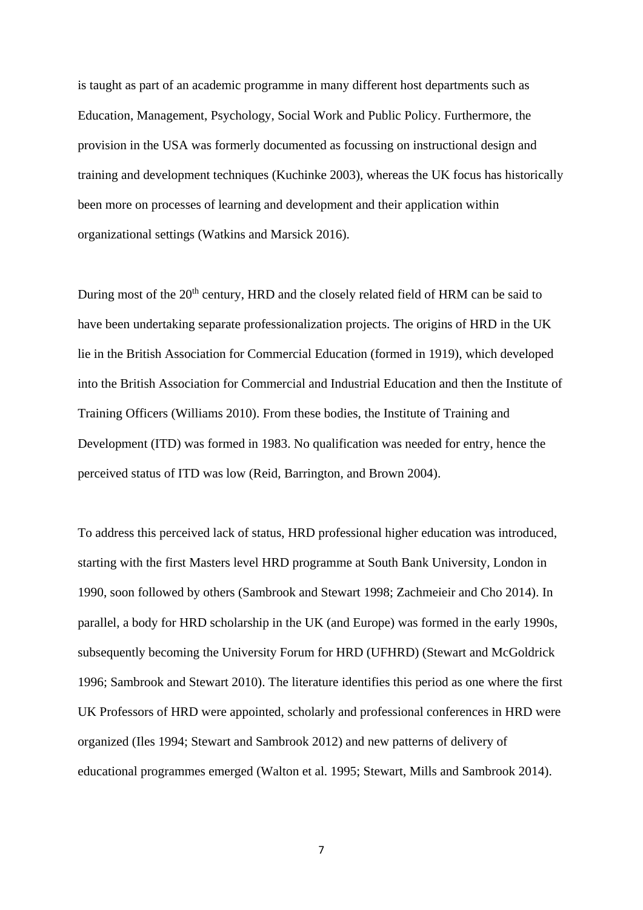is taught as part of an academic programme in many different host departments such as Education, Management, Psychology, Social Work and Public Policy. Furthermore, the provision in the USA was formerly documented as focussing on instructional design and training and development techniques (Kuchinke 2003), whereas the UK focus has historically been more on processes of learning and development and their application within organizational settings (Watkins and Marsick 2016).

During most of the 20<sup>th</sup> century, HRD and the closely related field of HRM can be said to have been undertaking separate professionalization projects. The origins of HRD in the UK lie in the British Association for Commercial Education (formed in 1919), which developed into the British Association for Commercial and Industrial Education and then the Institute of Training Officers (Williams 2010). From these bodies, the Institute of Training and Development (ITD) was formed in 1983. No qualification was needed for entry, hence the perceived status of ITD was low (Reid, Barrington, and Brown 2004).

To address this perceived lack of status, HRD professional higher education was introduced, starting with the first Masters level HRD programme at South Bank University, London in 1990, soon followed by others (Sambrook and Stewart 1998; Zachmeieir and Cho 2014). In parallel, a body for HRD scholarship in the UK (and Europe) was formed in the early 1990s, subsequently becoming the University Forum for HRD (UFHRD) (Stewart and McGoldrick 1996; Sambrook and Stewart 2010). The literature identifies this period as one where the first UK Professors of HRD were appointed, scholarly and professional conferences in HRD were organized (Iles 1994; Stewart and Sambrook 2012) and new patterns of delivery of educational programmes emerged (Walton et al. 1995; Stewart, Mills and Sambrook 2014).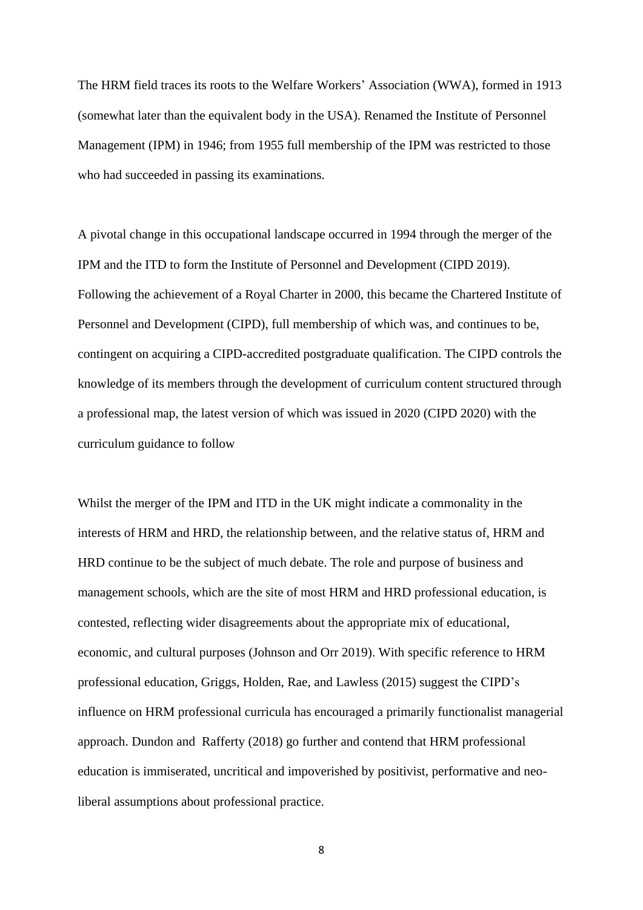The HRM field traces its roots to the Welfare Workers' Association (WWA), formed in 1913 (somewhat later than the equivalent body in the USA). Renamed the Institute of Personnel Management (IPM) in 1946; from 1955 full membership of the IPM was restricted to those who had succeeded in passing its examinations.

A pivotal change in this occupational landscape occurred in 1994 through the merger of the IPM and the ITD to form the Institute of Personnel and Development (CIPD 2019). Following the achievement of a Royal Charter in 2000, this became the Chartered Institute of Personnel and Development (CIPD), full membership of which was, and continues to be, contingent on acquiring a CIPD-accredited postgraduate qualification. The CIPD controls the knowledge of its members through the development of curriculum content structured through a professional map, the latest version of which was issued in 2020 (CIPD 2020) with the curriculum guidance to follow

Whilst the merger of the IPM and ITD in the UK might indicate a commonality in the interests of HRM and HRD, the relationship between, and the relative status of, HRM and HRD continue to be the subject of much debate. The role and purpose of business and management schools, which are the site of most HRM and HRD professional education, is contested, reflecting wider disagreements about the appropriate mix of educational, economic, and cultural purposes (Johnson and Orr 2019). With specific reference to HRM professional education, Griggs, Holden, Rae, and Lawless (2015) suggest the CIPD's influence on HRM professional curricula has encouraged a primarily functionalist managerial approach. Dundon and Rafferty (2018) go further and contend that HRM professional education is immiserated, uncritical and impoverished by positivist, performative and neoliberal assumptions about professional practice.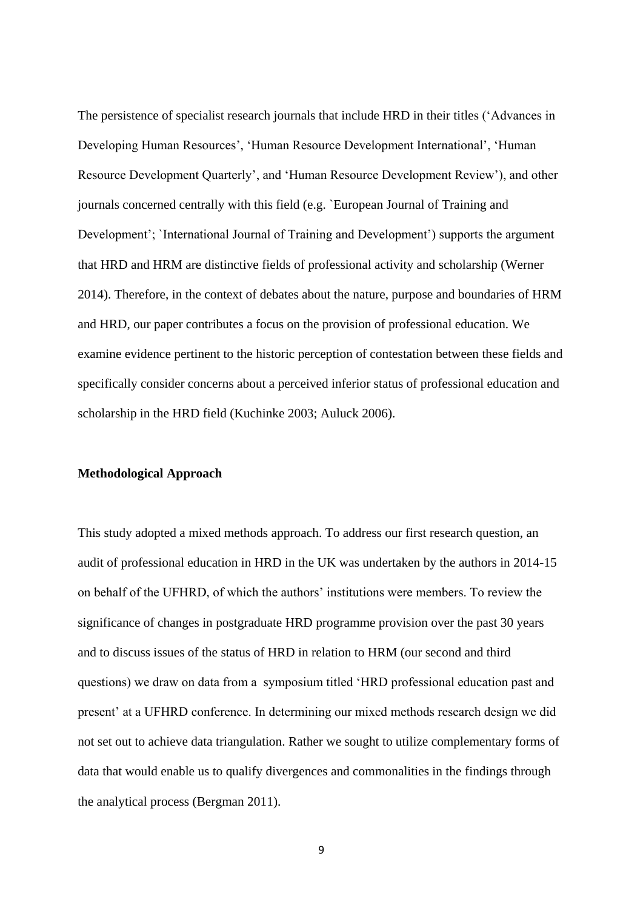The persistence of specialist research journals that include HRD in their titles ('Advances in Developing Human Resources', 'Human Resource Development International', 'Human Resource Development Quarterly', and 'Human Resource Development Review'), and other journals concerned centrally with this field (e.g. `European Journal of Training and Development'; `International Journal of Training and Development') supports the argument that HRD and HRM are distinctive fields of professional activity and scholarship (Werner 2014). Therefore, in the context of debates about the nature, purpose and boundaries of HRM and HRD, our paper contributes a focus on the provision of professional education. We examine evidence pertinent to the historic perception of contestation between these fields and specifically consider concerns about a perceived inferior status of professional education and scholarship in the HRD field (Kuchinke 2003; Auluck 2006).

### **Methodological Approach**

This study adopted a mixed methods approach. To address our first research question, an audit of professional education in HRD in the UK was undertaken by the authors in 2014-15 on behalf of the UFHRD, of which the authors' institutions were members. To review the significance of changes in postgraduate HRD programme provision over the past 30 years and to discuss issues of the status of HRD in relation to HRM (our second and third questions) we draw on data from a symposium titled 'HRD professional education past and present' at a UFHRD conference. In determining our mixed methods research design we did not set out to achieve data triangulation. Rather we sought to utilize complementary forms of data that would enable us to qualify divergences and commonalities in the findings through the analytical process (Bergman 2011).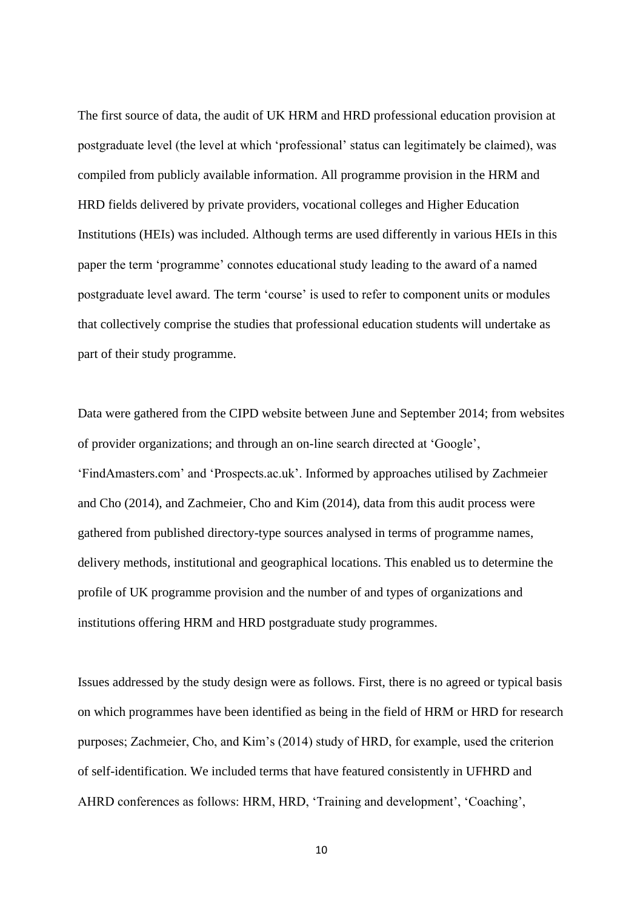The first source of data, the audit of UK HRM and HRD professional education provision at postgraduate level (the level at which 'professional' status can legitimately be claimed), was compiled from publicly available information. All programme provision in the HRM and HRD fields delivered by private providers, vocational colleges and Higher Education Institutions (HEIs) was included. Although terms are used differently in various HEIs in this paper the term 'programme' connotes educational study leading to the award of a named postgraduate level award. The term 'course' is used to refer to component units or modules that collectively comprise the studies that professional education students will undertake as part of their study programme.

Data were gathered from the CIPD website between June and September 2014; from websites of provider organizations; and through an on-line search directed at 'Google', 'FindAmasters.com' and 'Prospects.ac.uk'. Informed by approaches utilised by Zachmeier and Cho (2014), and Zachmeier, Cho and Kim (2014), data from this audit process were gathered from published directory-type sources analysed in terms of programme names, delivery methods, institutional and geographical locations. This enabled us to determine the profile of UK programme provision and the number of and types of organizations and institutions offering HRM and HRD postgraduate study programmes.

Issues addressed by the study design were as follows. First, there is no agreed or typical basis on which programmes have been identified as being in the field of HRM or HRD for research purposes; Zachmeier, Cho, and Kim's (2014) study of HRD, for example, used the criterion of self-identification. We included terms that have featured consistently in UFHRD and AHRD conferences as follows: HRM, HRD, 'Training and development', 'Coaching',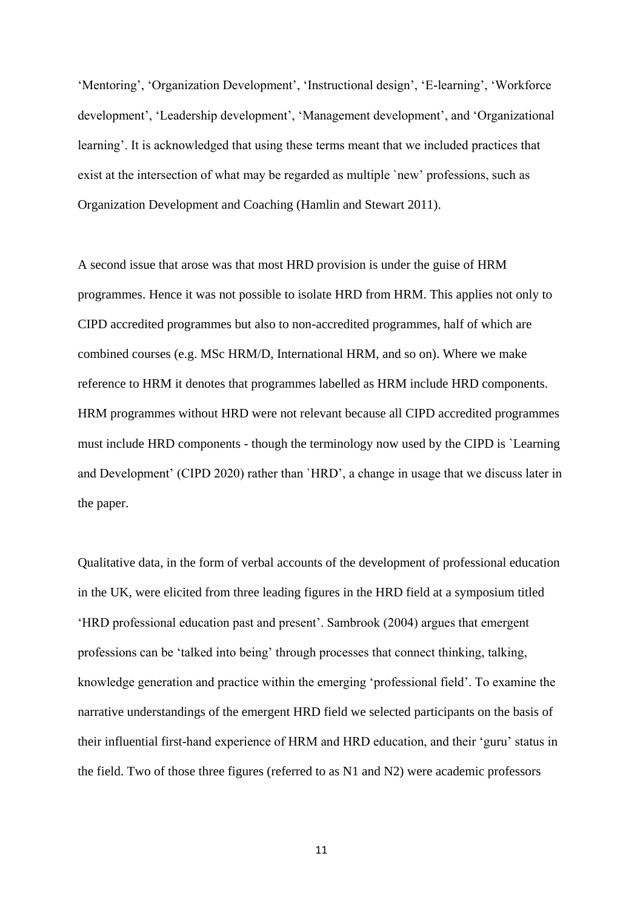'Mentoring', 'Organization Development', 'Instructional design', 'E-learning', 'Workforce development', 'Leadership development', 'Management development', and 'Organizational learning'. It is acknowledged that using these terms meant that we included practices that exist at the intersection of what may be regarded as multiple `new' professions, such as Organization Development and Coaching (Hamlin and Stewart 2011).

A second issue that arose was that most HRD provision is under the guise of HRM programmes. Hence it was not possible to isolate HRD from HRM. This applies not only to CIPD accredited programmes but also to non-accredited programmes, half of which are combined courses (e.g. MSc HRM/D, International HRM, and so on). Where we make reference to HRM it denotes that programmes labelled as HRM include HRD components. HRM programmes without HRD were not relevant because all CIPD accredited programmes must include HRD components - though the terminology now used by the CIPD is `Learning and Development' (CIPD 2020) rather than `HRD', a change in usage that we discuss later in the paper.

Qualitative data, in the form of verbal accounts of the development of professional education in the UK, were elicited from three leading figures in the HRD field at a symposium titled 'HRD professional education past and present'. Sambrook (2004) argues that emergent professions can be 'talked into being' through processes that connect thinking, talking, knowledge generation and practice within the emerging 'professional field'. To examine the narrative understandings of the emergent HRD field we selected participants on the basis of their influential first-hand experience of HRM and HRD education, and their 'guru' status in the field. Two of those three figures (referred to as N1 and N2) were academic professors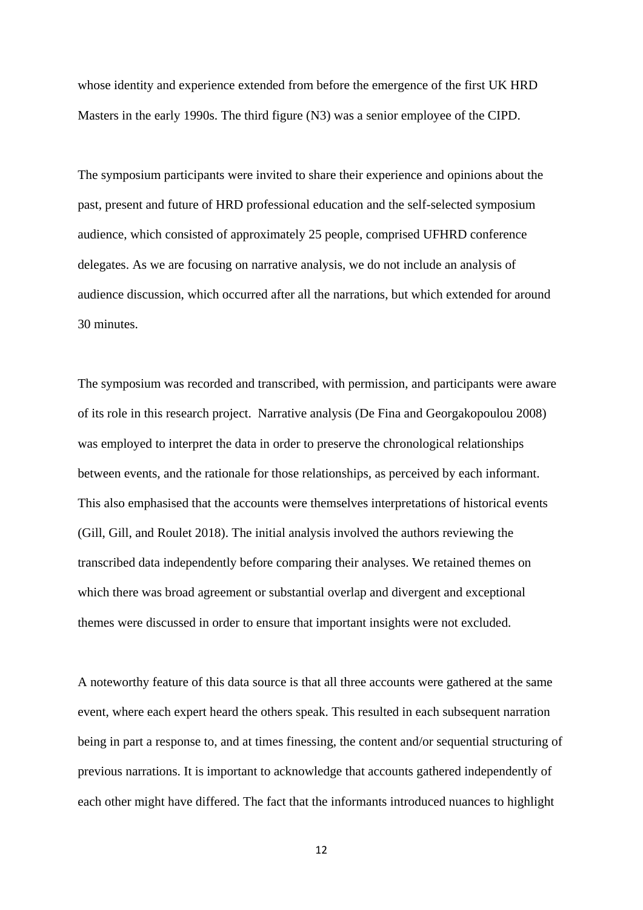whose identity and experience extended from before the emergence of the first UK HRD Masters in the early 1990s. The third figure (N3) was a senior employee of the CIPD.

The symposium participants were invited to share their experience and opinions about the past, present and future of HRD professional education and the self-selected symposium audience, which consisted of approximately 25 people, comprised UFHRD conference delegates. As we are focusing on narrative analysis, we do not include an analysis of audience discussion, which occurred after all the narrations, but which extended for around 30 minutes.

The symposium was recorded and transcribed, with permission, and participants were aware of its role in this research project. Narrative analysis (De Fina and Georgakopoulou 2008) was employed to interpret the data in order to preserve the chronological relationships between events, and the rationale for those relationships, as perceived by each informant. This also emphasised that the accounts were themselves interpretations of historical events (Gill, Gill, and Roulet 2018). The initial analysis involved the authors reviewing the transcribed data independently before comparing their analyses. We retained themes on which there was broad agreement or substantial overlap and divergent and exceptional themes were discussed in order to ensure that important insights were not excluded.

A noteworthy feature of this data source is that all three accounts were gathered at the same event, where each expert heard the others speak. This resulted in each subsequent narration being in part a response to, and at times finessing, the content and/or sequential structuring of previous narrations. It is important to acknowledge that accounts gathered independently of each other might have differed. The fact that the informants introduced nuances to highlight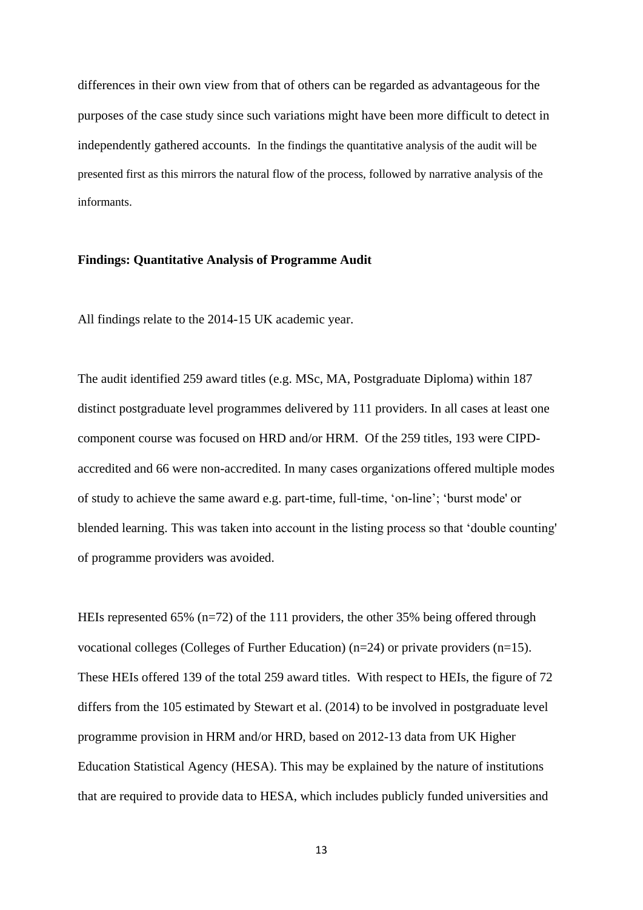differences in their own view from that of others can be regarded as advantageous for the purposes of the case study since such variations might have been more difficult to detect in independently gathered accounts. In the findings the quantitative analysis of the audit will be presented first as this mirrors the natural flow of the process, followed by narrative analysis of the informants.

### **Findings: Quantitative Analysis of Programme Audit**

All findings relate to the 2014-15 UK academic year.

The audit identified 259 award titles (e.g. MSc, MA, Postgraduate Diploma) within 187 distinct postgraduate level programmes delivered by 111 providers. In all cases at least one component course was focused on HRD and/or HRM. Of the 259 titles, 193 were CIPDaccredited and 66 were non-accredited. In many cases organizations offered multiple modes of study to achieve the same award e.g. part-time, full-time, 'on-line'; 'burst mode' or blended learning. This was taken into account in the listing process so that 'double counting' of programme providers was avoided.

HEIs represented 65% (n=72) of the 111 providers, the other 35% being offered through vocational colleges (Colleges of Further Education) (n=24) or private providers (n=15). These HEIs offered 139 of the total 259 award titles. With respect to HEIs, the figure of 72 differs from the 105 estimated by Stewart et al. (2014) to be involved in postgraduate level programme provision in HRM and/or HRD, based on 2012-13 data from UK Higher Education Statistical Agency (HESA). This may be explained by the nature of institutions that are required to provide data to HESA, which includes publicly funded universities and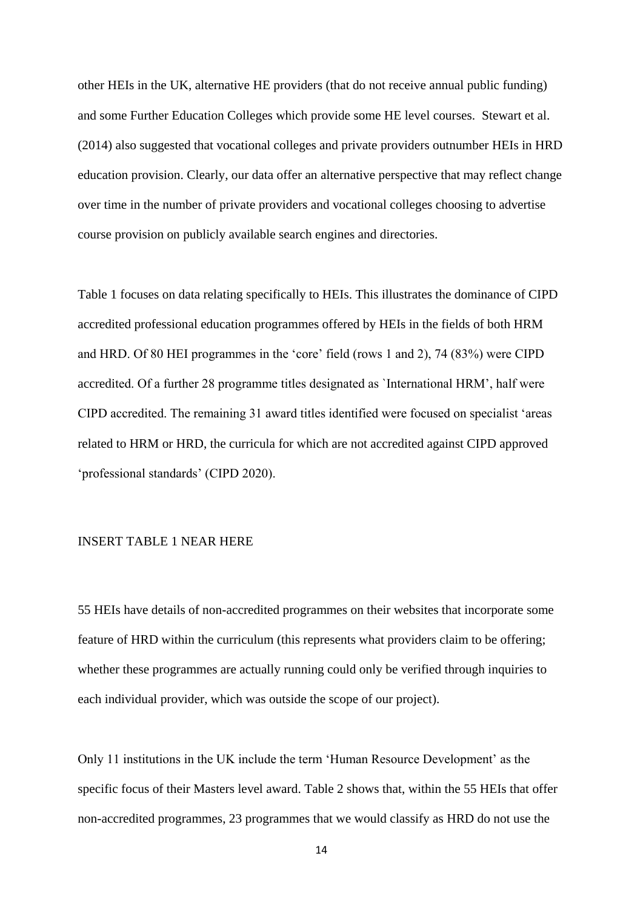other HEIs in the UK, alternative HE providers (that do not receive annual public funding) and some Further Education Colleges which provide some HE level courses. Stewart et al. (2014) also suggested that vocational colleges and private providers outnumber HEIs in HRD education provision. Clearly, our data offer an alternative perspective that may reflect change over time in the number of private providers and vocational colleges choosing to advertise course provision on publicly available search engines and directories.

Table 1 focuses on data relating specifically to HEIs. This illustrates the dominance of CIPD accredited professional education programmes offered by HEIs in the fields of both HRM and HRD. Of 80 HEI programmes in the 'core' field (rows 1 and 2), 74 (83%) were CIPD accredited. Of a further 28 programme titles designated as `International HRM', half were CIPD accredited. The remaining 31 award titles identified were focused on specialist 'areas related to HRM or HRD, the curricula for which are not accredited against CIPD approved 'professional standards' (CIPD 2020).

#### INSERT TABLE 1 NEAR HERE

55 HEIs have details of non-accredited programmes on their websites that incorporate some feature of HRD within the curriculum (this represents what providers claim to be offering; whether these programmes are actually running could only be verified through inquiries to each individual provider, which was outside the scope of our project).

Only 11 institutions in the UK include the term 'Human Resource Development' as the specific focus of their Masters level award. Table 2 shows that, within the 55 HEIs that offer non-accredited programmes, 23 programmes that we would classify as HRD do not use the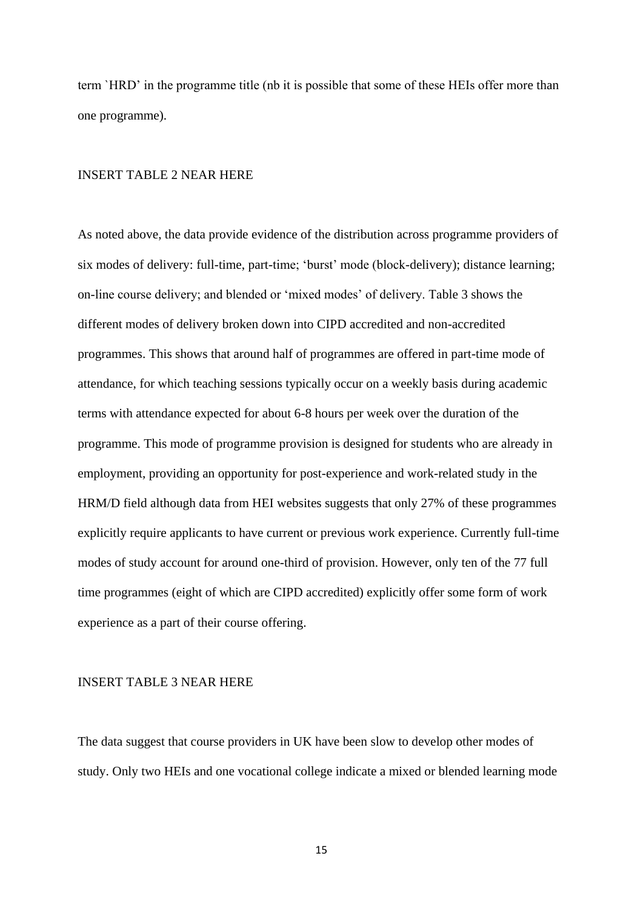term `HRD' in the programme title (nb it is possible that some of these HEIs offer more than one programme).

### INSERT TABLE 2 NEAR HERE

As noted above, the data provide evidence of the distribution across programme providers of six modes of delivery: full-time, part-time; 'burst' mode (block-delivery); distance learning; on-line course delivery; and blended or 'mixed modes' of delivery. Table 3 shows the different modes of delivery broken down into CIPD accredited and non-accredited programmes. This shows that around half of programmes are offered in part-time mode of attendance, for which teaching sessions typically occur on a weekly basis during academic terms with attendance expected for about 6-8 hours per week over the duration of the programme. This mode of programme provision is designed for students who are already in employment, providing an opportunity for post-experience and work-related study in the HRM/D field although data from HEI websites suggests that only 27% of these programmes explicitly require applicants to have current or previous work experience. Currently full-time modes of study account for around one-third of provision. However, only ten of the 77 full time programmes (eight of which are CIPD accredited) explicitly offer some form of work experience as a part of their course offering.

## INSERT TABLE 3 NEAR HERE

The data suggest that course providers in UK have been slow to develop other modes of study. Only two HEIs and one vocational college indicate a mixed or blended learning mode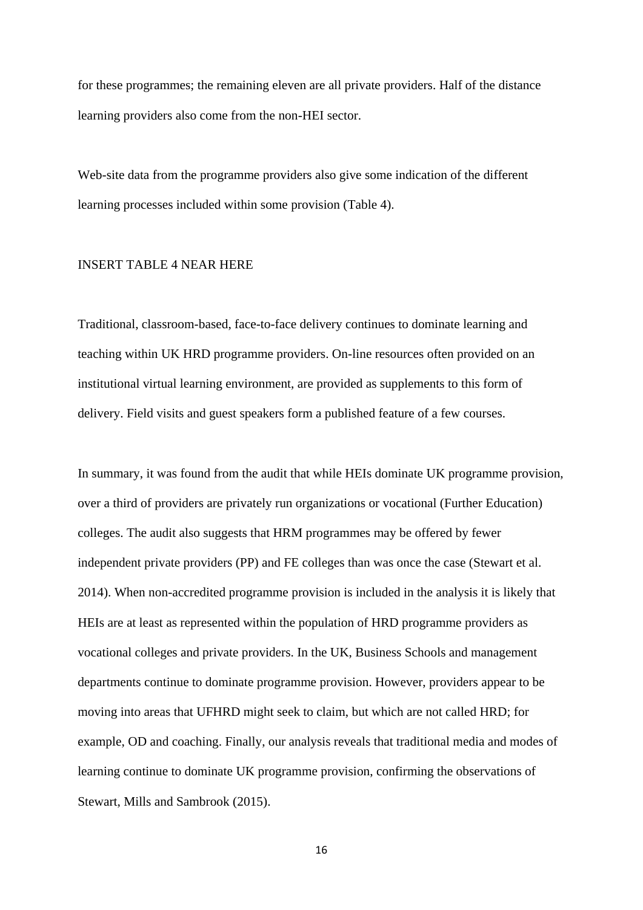for these programmes; the remaining eleven are all private providers. Half of the distance learning providers also come from the non-HEI sector.

Web-site data from the programme providers also give some indication of the different learning processes included within some provision (Table 4).

### INSERT TABLE 4 NEAR HERE

Traditional, classroom-based, face-to-face delivery continues to dominate learning and teaching within UK HRD programme providers. On-line resources often provided on an institutional virtual learning environment, are provided as supplements to this form of delivery. Field visits and guest speakers form a published feature of a few courses.

In summary, it was found from the audit that while HEIs dominate UK programme provision, over a third of providers are privately run organizations or vocational (Further Education) colleges. The audit also suggests that HRM programmes may be offered by fewer independent private providers (PP) and FE colleges than was once the case (Stewart et al. 2014). When non-accredited programme provision is included in the analysis it is likely that HEIs are at least as represented within the population of HRD programme providers as vocational colleges and private providers. In the UK, Business Schools and management departments continue to dominate programme provision. However, providers appear to be moving into areas that UFHRD might seek to claim, but which are not called HRD; for example, OD and coaching. Finally, our analysis reveals that traditional media and modes of learning continue to dominate UK programme provision, confirming the observations of Stewart, Mills and Sambrook (2015).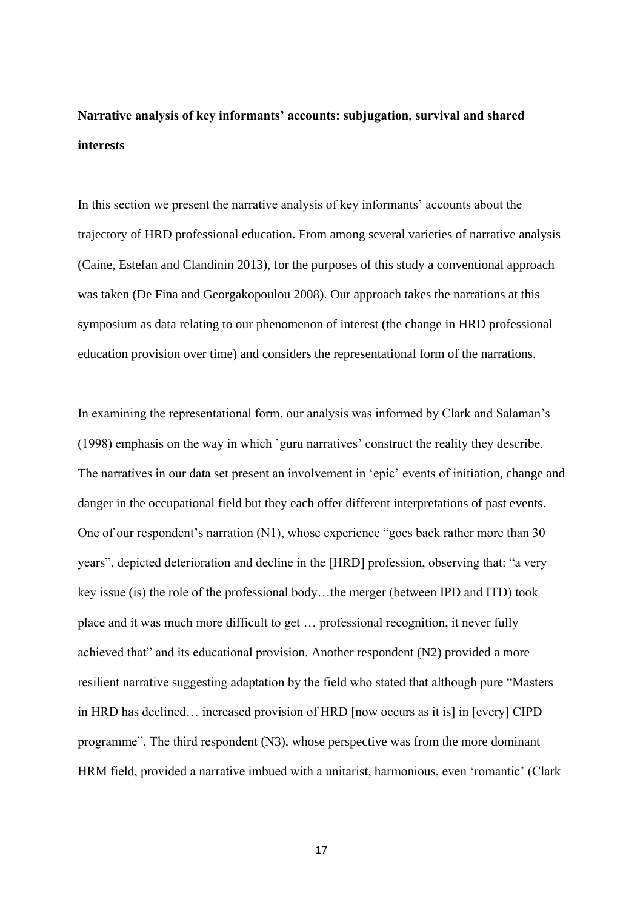# **Narrative analysis of key informants' accounts: subjugation, survival and shared interests**

In this section we present the narrative analysis of key informants' accounts about the trajectory of HRD professional education. From among several varieties of narrative analysis (Caine, Estefan and Clandinin 2013), for the purposes of this study a conventional approach was taken (De Fina and Georgakopoulou 2008). Our approach takes the narrations at this symposium as data relating to our phenomenon of interest (the change in HRD professional education provision over time) and considers the representational form of the narrations.

In examining the representational form, our analysis was informed by Clark and Salaman's (1998) emphasis on the way in which `guru narratives' construct the reality they describe. The narratives in our data set present an involvement in 'epic' events of initiation, change and danger in the occupational field but they each offer different interpretations of past events. One of our respondent's narration (N1), whose experience "goes back rather more than 30 years", depicted deterioration and decline in the [HRD] profession, observing that: "a very key issue (is) the role of the professional body…the merger (between IPD and ITD) took place and it was much more difficult to get … professional recognition, it never fully achieved that" and its educational provision. Another respondent (N2) provided a more resilient narrative suggesting adaptation by the field who stated that although pure "Masters in HRD has declined… increased provision of HRD [now occurs as it is] in [every] CIPD programme". The third respondent (N3), whose perspective was from the more dominant HRM field, provided a narrative imbued with a unitarist, harmonious, even 'romantic' (Clark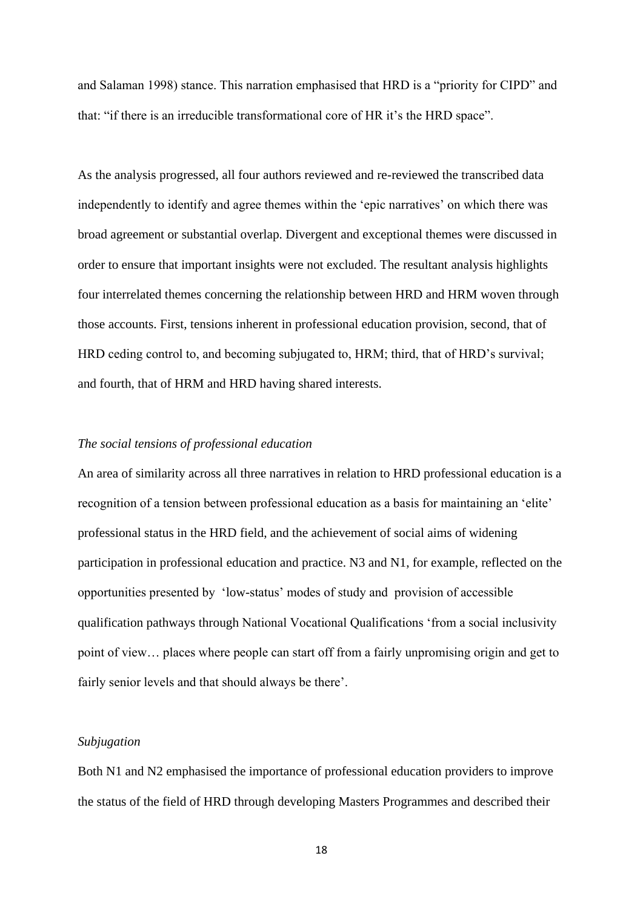and Salaman 1998) stance. This narration emphasised that HRD is a "priority for CIPD" and that: "if there is an irreducible transformational core of HR it's the HRD space".

As the analysis progressed, all four authors reviewed and re-reviewed the transcribed data independently to identify and agree themes within the 'epic narratives' on which there was broad agreement or substantial overlap. Divergent and exceptional themes were discussed in order to ensure that important insights were not excluded. The resultant analysis highlights four interrelated themes concerning the relationship between HRD and HRM woven through those accounts. First, tensions inherent in professional education provision, second, that of HRD ceding control to, and becoming subjugated to, HRM; third, that of HRD's survival; and fourth, that of HRM and HRD having shared interests.

## *The social tensions of professional education*

An area of similarity across all three narratives in relation to HRD professional education is a recognition of a tension between professional education as a basis for maintaining an 'elite' professional status in the HRD field, and the achievement of social aims of widening participation in professional education and practice. N3 and N1, for example, reflected on the opportunities presented by 'low-status' modes of study and provision of accessible qualification pathways through National Vocational Qualifications 'from a social inclusivity point of view… places where people can start off from a fairly unpromising origin and get to fairly senior levels and that should always be there'.

### *Subjugation*

Both N1 and N2 emphasised the importance of professional education providers to improve the status of the field of HRD through developing Masters Programmes and described their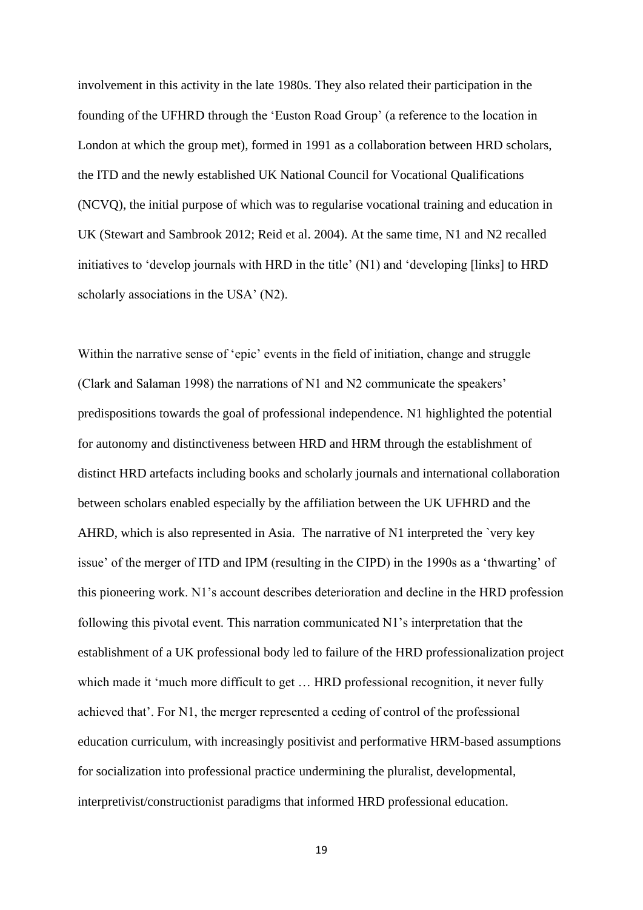involvement in this activity in the late 1980s. They also related their participation in the founding of the UFHRD through the 'Euston Road Group' (a reference to the location in London at which the group met), formed in 1991 as a collaboration between HRD scholars, the ITD and the newly established UK National Council for Vocational Qualifications (NCVQ), the initial purpose of which was to regularise vocational training and education in UK (Stewart and Sambrook 2012; Reid et al. 2004). At the same time, N1 and N2 recalled initiatives to 'develop journals with HRD in the title' (N1) and 'developing [links] to HRD scholarly associations in the USA' (N2).

Within the narrative sense of 'epic' events in the field of initiation, change and struggle (Clark and Salaman 1998) the narrations of N1 and N2 communicate the speakers' predispositions towards the goal of professional independence. N1 highlighted the potential for autonomy and distinctiveness between HRD and HRM through the establishment of distinct HRD artefacts including books and scholarly journals and international collaboration between scholars enabled especially by the affiliation between the UK UFHRD and the AHRD, which is also represented in Asia. The narrative of N1 interpreted the `very key issue' of the merger of ITD and IPM (resulting in the CIPD) in the 1990s as a 'thwarting' of this pioneering work. N1's account describes deterioration and decline in the HRD profession following this pivotal event. This narration communicated N1's interpretation that the establishment of a UK professional body led to failure of the HRD professionalization project which made it 'much more difficult to get ... HRD professional recognition, it never fully achieved that'. For N1, the merger represented a ceding of control of the professional education curriculum, with increasingly positivist and performative HRM-based assumptions for socialization into professional practice undermining the pluralist, developmental, interpretivist/constructionist paradigms that informed HRD professional education.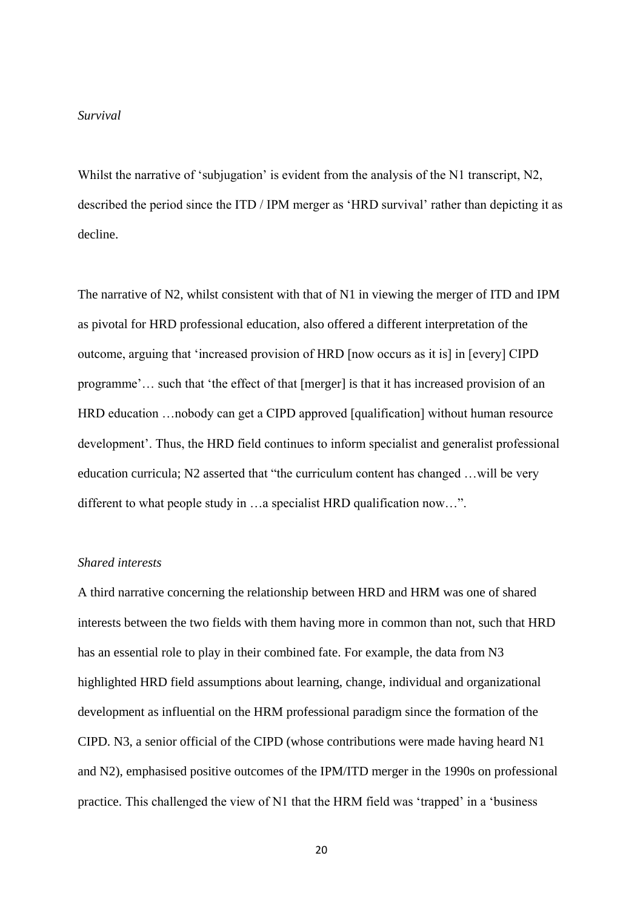### *Survival*

Whilst the narrative of 'subjugation' is evident from the analysis of the N1 transcript, N2, described the period since the ITD / IPM merger as 'HRD survival' rather than depicting it as decline.

The narrative of N2, whilst consistent with that of N1 in viewing the merger of ITD and IPM as pivotal for HRD professional education, also offered a different interpretation of the outcome, arguing that 'increased provision of HRD [now occurs as it is] in [every] CIPD programme'… such that 'the effect of that [merger] is that it has increased provision of an HRD education …nobody can get a CIPD approved [qualification] without human resource development'. Thus, the HRD field continues to inform specialist and generalist professional education curricula; N2 asserted that "the curriculum content has changed …will be very different to what people study in …a specialist HRD qualification now…".

## *Shared interests*

A third narrative concerning the relationship between HRD and HRM was one of shared interests between the two fields with them having more in common than not, such that HRD has an essential role to play in their combined fate. For example, the data from N3 highlighted HRD field assumptions about learning, change, individual and organizational development as influential on the HRM professional paradigm since the formation of the CIPD. N3, a senior official of the CIPD (whose contributions were made having heard N1 and N2), emphasised positive outcomes of the IPM/ITD merger in the 1990s on professional practice. This challenged the view of N1 that the HRM field was 'trapped' in a 'business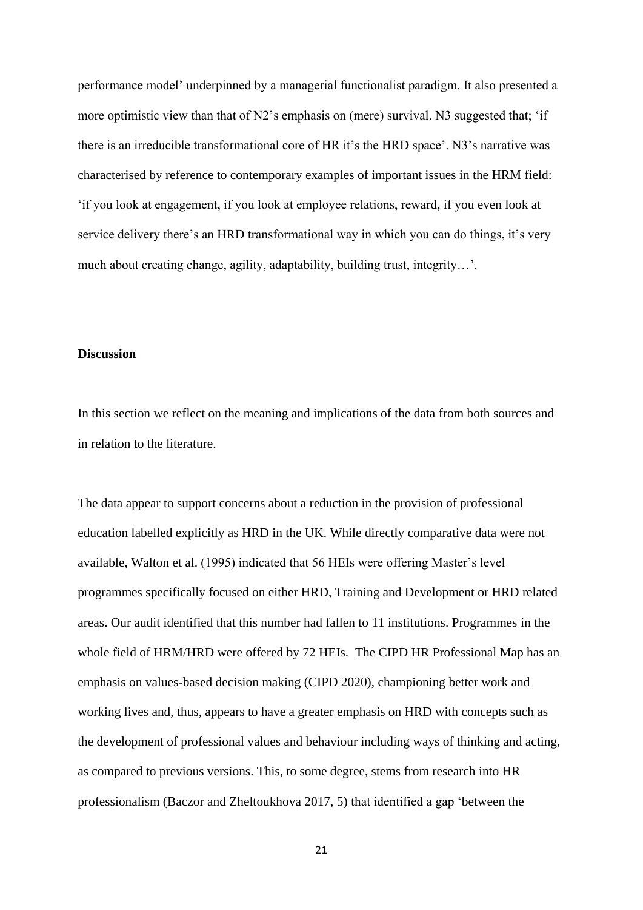performance model' underpinned by a managerial functionalist paradigm. It also presented a more optimistic view than that of N2's emphasis on (mere) survival. N3 suggested that; 'if there is an irreducible transformational core of HR it's the HRD space'. N3's narrative was characterised by reference to contemporary examples of important issues in the HRM field: 'if you look at engagement, if you look at employee relations, reward, if you even look at service delivery there's an HRD transformational way in which you can do things, it's very much about creating change, agility, adaptability, building trust, integrity…'.

## **Discussion**

In this section we reflect on the meaning and implications of the data from both sources and in relation to the literature.

The data appear to support concerns about a reduction in the provision of professional education labelled explicitly as HRD in the UK. While directly comparative data were not available, Walton et al. (1995) indicated that 56 HEIs were offering Master's level programmes specifically focused on either HRD, Training and Development or HRD related areas. Our audit identified that this number had fallen to 11 institutions. Programmes in the whole field of HRM/HRD were offered by 72 HEIs. The CIPD HR Professional Map has an emphasis on values-based decision making (CIPD 2020), championing better work and working lives and, thus, appears to have a greater emphasis on HRD with concepts such as the development of professional values and behaviour including ways of thinking and acting, as compared to previous versions. This, to some degree, stems from research into HR professionalism (Baczor and Zheltoukhova 2017, 5) that identified a gap 'between the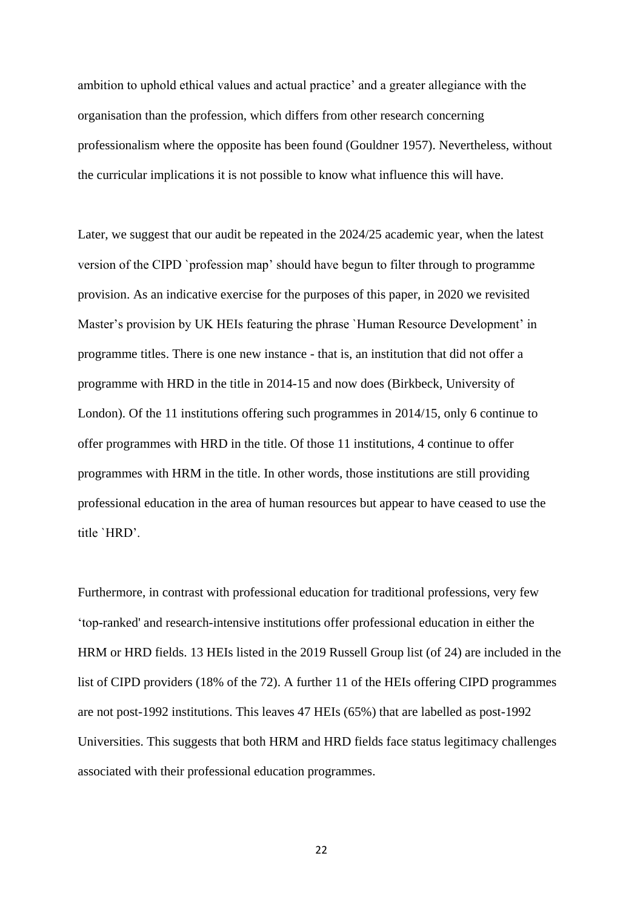ambition to uphold ethical values and actual practice' and a greater allegiance with the organisation than the profession, which differs from other research concerning professionalism where the opposite has been found (Gouldner 1957). Nevertheless, without the curricular implications it is not possible to know what influence this will have.

Later, we suggest that our audit be repeated in the 2024/25 academic year, when the latest version of the CIPD `profession map' should have begun to filter through to programme provision. As an indicative exercise for the purposes of this paper, in 2020 we revisited Master's provision by UK HEIs featuring the phrase `Human Resource Development' in programme titles. There is one new instance - that is, an institution that did not offer a programme with HRD in the title in 2014-15 and now does (Birkbeck, University of London). Of the 11 institutions offering such programmes in 2014/15, only 6 continue to offer programmes with HRD in the title. Of those 11 institutions, 4 continue to offer programmes with HRM in the title. In other words, those institutions are still providing professional education in the area of human resources but appear to have ceased to use the title `HRD'.

Furthermore, in contrast with professional education for traditional professions, very few 'top-ranked' and research-intensive institutions offer professional education in either the HRM or HRD fields. 13 HEIs listed in the 2019 Russell Group list (of 24) are included in the list of CIPD providers (18% of the 72). A further 11 of the HEIs offering CIPD programmes are not post-1992 institutions. This leaves 47 HEIs (65%) that are labelled as post-1992 Universities. This suggests that both HRM and HRD fields face status legitimacy challenges associated with their professional education programmes.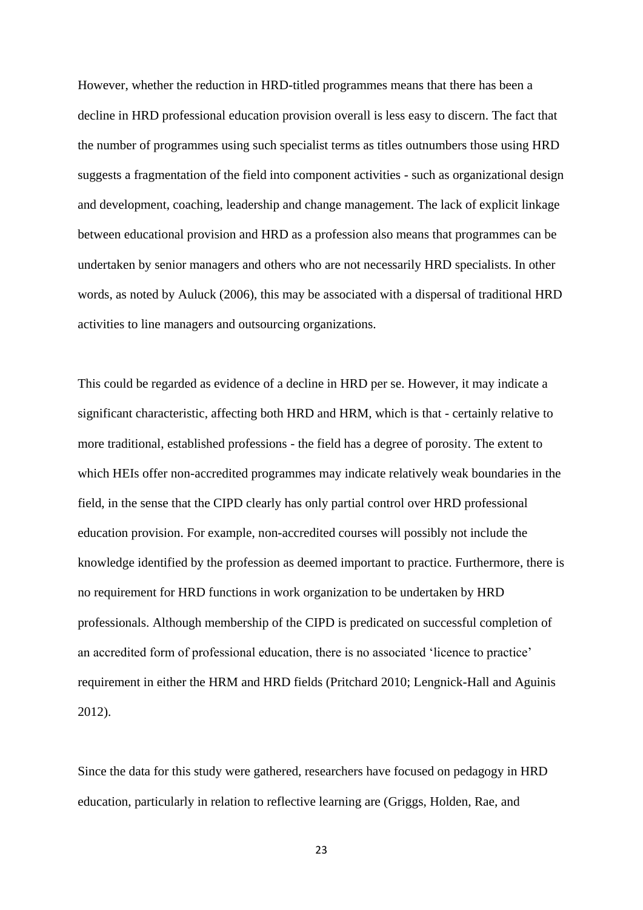However, whether the reduction in HRD-titled programmes means that there has been a decline in HRD professional education provision overall is less easy to discern. The fact that the number of programmes using such specialist terms as titles outnumbers those using HRD suggests a fragmentation of the field into component activities - such as organizational design and development, coaching, leadership and change management. The lack of explicit linkage between educational provision and HRD as a profession also means that programmes can be undertaken by senior managers and others who are not necessarily HRD specialists. In other words, as noted by Auluck (2006), this may be associated with a dispersal of traditional HRD activities to line managers and outsourcing organizations.

This could be regarded as evidence of a decline in HRD per se. However, it may indicate a significant characteristic, affecting both HRD and HRM, which is that - certainly relative to more traditional, established professions - the field has a degree of porosity. The extent to which HEIs offer non-accredited programmes may indicate relatively weak boundaries in the field, in the sense that the CIPD clearly has only partial control over HRD professional education provision. For example, non-accredited courses will possibly not include the knowledge identified by the profession as deemed important to practice. Furthermore, there is no requirement for HRD functions in work organization to be undertaken by HRD professionals. Although membership of the CIPD is predicated on successful completion of an accredited form of professional education, there is no associated 'licence to practice' requirement in either the HRM and HRD fields (Pritchard 2010; Lengnick-Hall and Aguinis 2012).

Since the data for this study were gathered, researchers have focused on pedagogy in HRD education, particularly in relation to reflective learning are (Griggs, Holden, Rae, and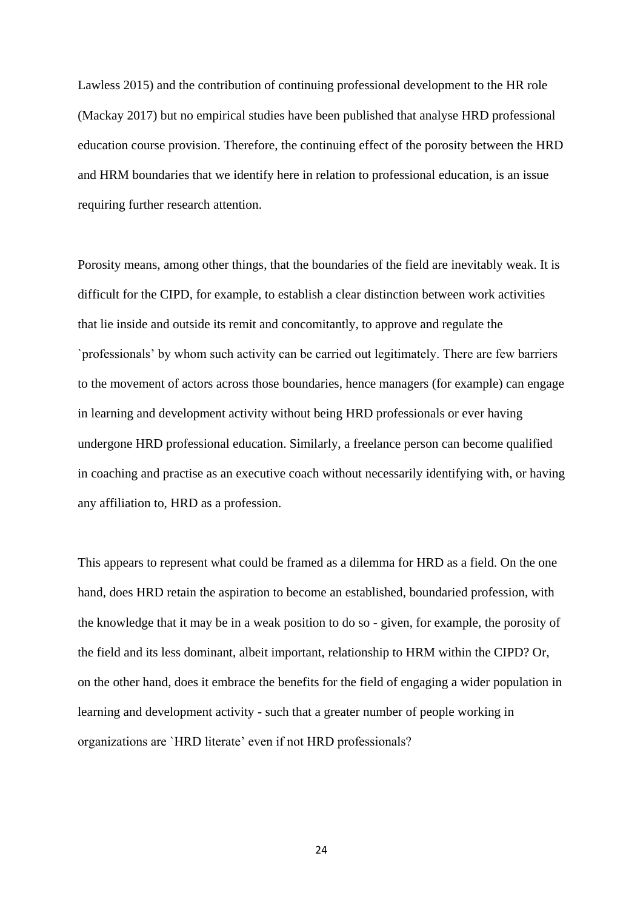Lawless 2015) and the contribution of continuing professional development to the HR role (Mackay 2017) but no empirical studies have been published that analyse HRD professional education course provision. Therefore, the continuing effect of the porosity between the HRD and HRM boundaries that we identify here in relation to professional education, is an issue requiring further research attention.

Porosity means, among other things, that the boundaries of the field are inevitably weak. It is difficult for the CIPD, for example, to establish a clear distinction between work activities that lie inside and outside its remit and concomitantly, to approve and regulate the `professionals' by whom such activity can be carried out legitimately. There are few barriers to the movement of actors across those boundaries, hence managers (for example) can engage in learning and development activity without being HRD professionals or ever having undergone HRD professional education. Similarly, a freelance person can become qualified in coaching and practise as an executive coach without necessarily identifying with, or having any affiliation to, HRD as a profession.

This appears to represent what could be framed as a dilemma for HRD as a field. On the one hand, does HRD retain the aspiration to become an established, boundaried profession, with the knowledge that it may be in a weak position to do so - given, for example, the porosity of the field and its less dominant, albeit important, relationship to HRM within the CIPD? Or, on the other hand, does it embrace the benefits for the field of engaging a wider population in learning and development activity - such that a greater number of people working in organizations are `HRD literate' even if not HRD professionals?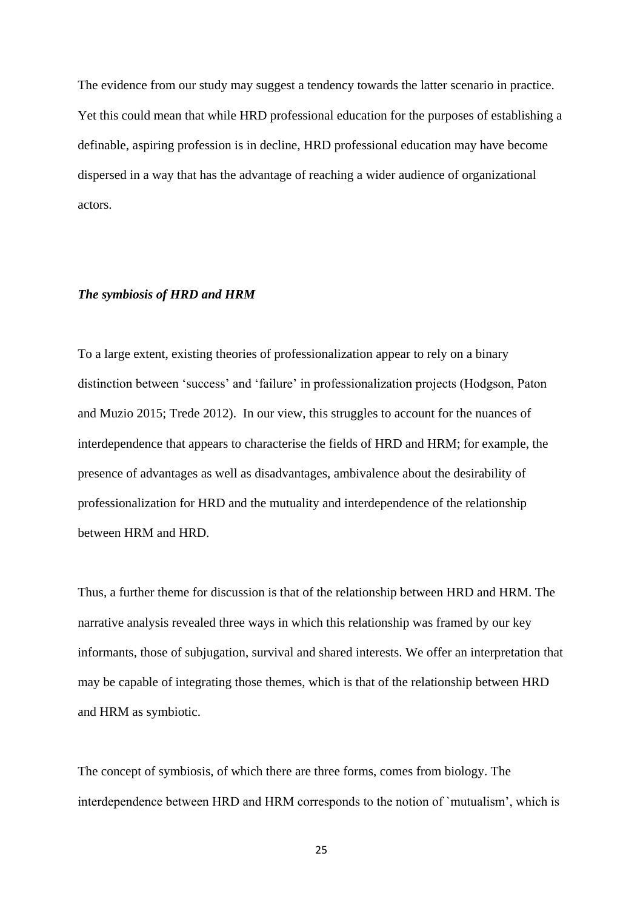The evidence from our study may suggest a tendency towards the latter scenario in practice. Yet this could mean that while HRD professional education for the purposes of establishing a definable, aspiring profession is in decline, HRD professional education may have become dispersed in a way that has the advantage of reaching a wider audience of organizational actors.

### *The symbiosis of HRD and HRM*

To a large extent, existing theories of professionalization appear to rely on a binary distinction between 'success' and 'failure' in professionalization projects (Hodgson, Paton and Muzio 2015; Trede 2012). In our view, this struggles to account for the nuances of interdependence that appears to characterise the fields of HRD and HRM; for example, the presence of advantages as well as disadvantages, ambivalence about the desirability of professionalization for HRD and the mutuality and interdependence of the relationship between HRM and HRD.

Thus, a further theme for discussion is that of the relationship between HRD and HRM. The narrative analysis revealed three ways in which this relationship was framed by our key informants, those of subjugation, survival and shared interests. We offer an interpretation that may be capable of integrating those themes, which is that of the relationship between HRD and HRM as symbiotic.

The concept of symbiosis, of which there are three forms, comes from biology. The interdependence between HRD and HRM corresponds to the notion of `mutualism', which is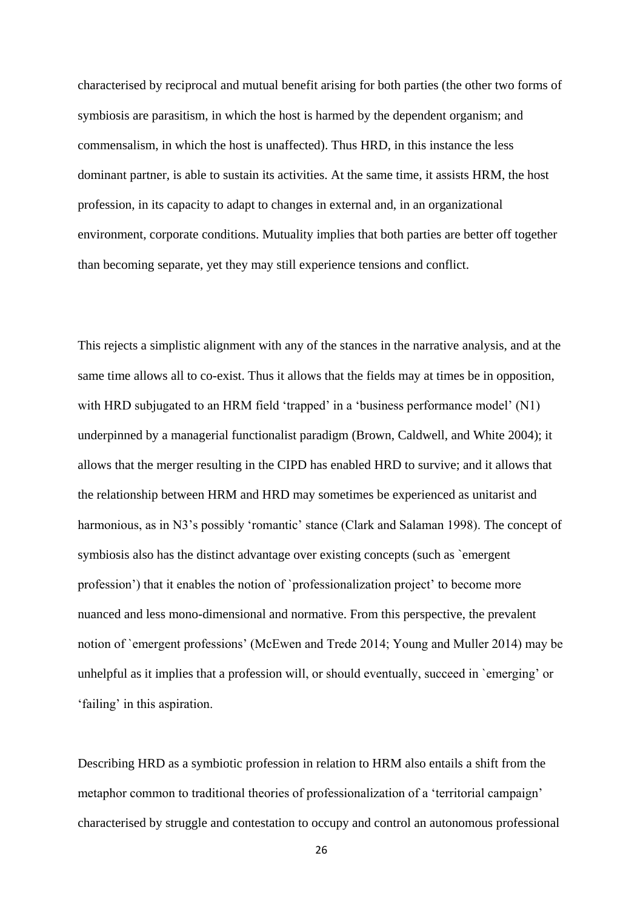characterised by reciprocal and mutual benefit arising for both parties (the other two forms of symbiosis are parasitism, in which the host is harmed by the dependent organism; and commensalism, in which the host is unaffected). Thus HRD, in this instance the less dominant partner, is able to sustain its activities. At the same time, it assists HRM, the host profession, in its capacity to adapt to changes in external and, in an organizational environment, corporate conditions. Mutuality implies that both parties are better off together than becoming separate, yet they may still experience tensions and conflict.

This rejects a simplistic alignment with any of the stances in the narrative analysis, and at the same time allows all to co-exist. Thus it allows that the fields may at times be in opposition, with HRD subjugated to an HRM field 'trapped' in a 'business performance model' (N1) underpinned by a managerial functionalist paradigm (Brown, Caldwell, and White 2004); it allows that the merger resulting in the CIPD has enabled HRD to survive; and it allows that the relationship between HRM and HRD may sometimes be experienced as unitarist and harmonious, as in N3's possibly 'romantic' stance (Clark and Salaman 1998). The concept of symbiosis also has the distinct advantage over existing concepts (such as `emergent profession') that it enables the notion of `professionalization project' to become more nuanced and less mono-dimensional and normative. From this perspective, the prevalent notion of `emergent professions' (McEwen and Trede 2014; Young and Muller 2014) may be unhelpful as it implies that a profession will, or should eventually, succeed in `emerging' or 'failing' in this aspiration.

Describing HRD as a symbiotic profession in relation to HRM also entails a shift from the metaphor common to traditional theories of professionalization of a 'territorial campaign' characterised by struggle and contestation to occupy and control an autonomous professional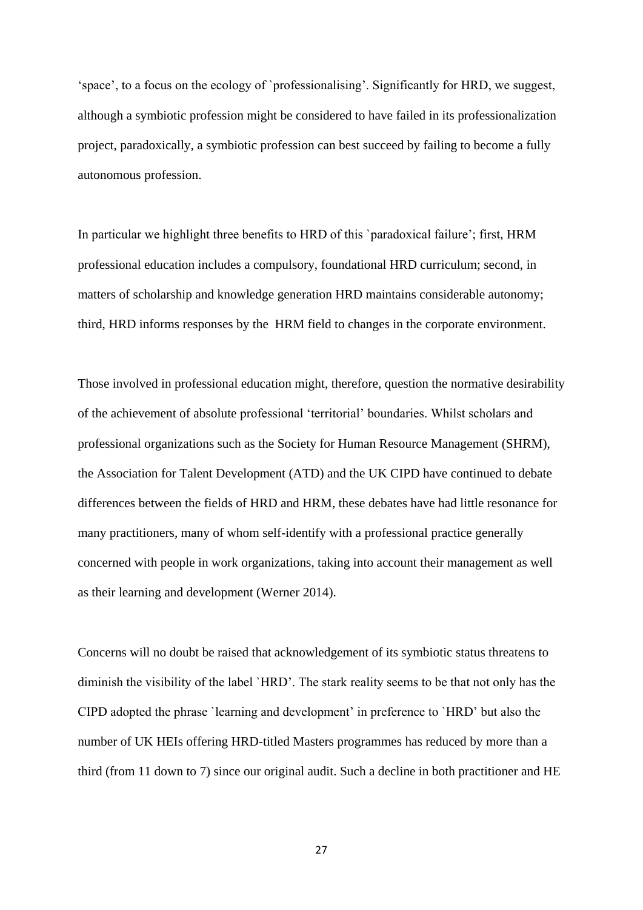'space', to a focus on the ecology of `professionalising'. Significantly for HRD, we suggest, although a symbiotic profession might be considered to have failed in its professionalization project, paradoxically, a symbiotic profession can best succeed by failing to become a fully autonomous profession.

In particular we highlight three benefits to HRD of this `paradoxical failure'; first, HRM professional education includes a compulsory, foundational HRD curriculum; second, in matters of scholarship and knowledge generation HRD maintains considerable autonomy; third, HRD informs responses by the HRM field to changes in the corporate environment.

Those involved in professional education might, therefore, question the normative desirability of the achievement of absolute professional 'territorial' boundaries. Whilst scholars and professional organizations such as the Society for Human Resource Management (SHRM), the Association for Talent Development (ATD) and the UK CIPD have continued to debate differences between the fields of HRD and HRM, these debates have had little resonance for many practitioners, many of whom self-identify with a professional practice generally concerned with people in work organizations, taking into account their management as well as their learning and development (Werner 2014).

Concerns will no doubt be raised that acknowledgement of its symbiotic status threatens to diminish the visibility of the label `HRD'. The stark reality seems to be that not only has the CIPD adopted the phrase `learning and development' in preference to `HRD' but also the number of UK HEIs offering HRD-titled Masters programmes has reduced by more than a third (from 11 down to 7) since our original audit. Such a decline in both practitioner and HE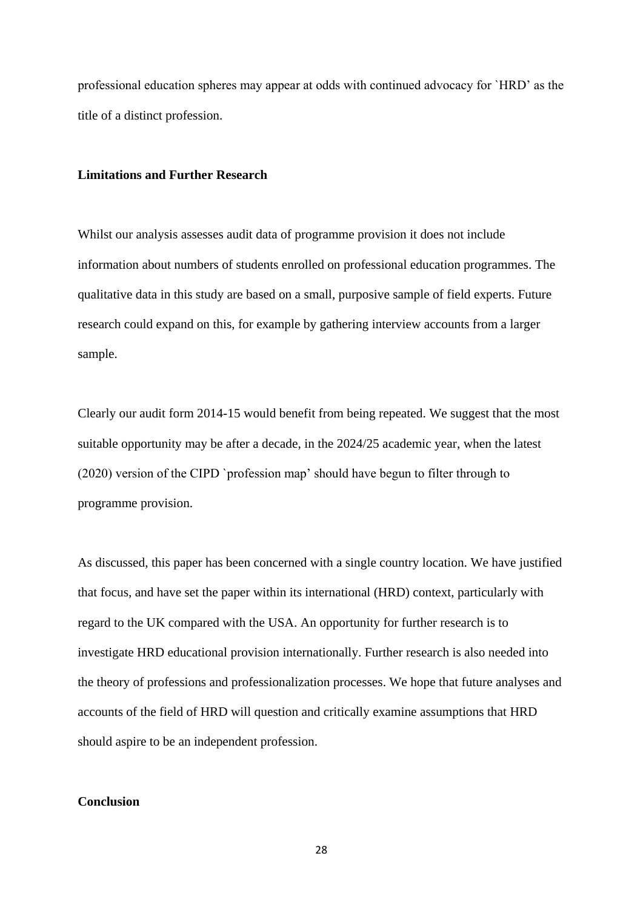professional education spheres may appear at odds with continued advocacy for `HRD' as the title of a distinct profession.

### **Limitations and Further Research**

Whilst our analysis assesses audit data of programme provision it does not include information about numbers of students enrolled on professional education programmes. The qualitative data in this study are based on a small, purposive sample of field experts. Future research could expand on this, for example by gathering interview accounts from a larger sample.

Clearly our audit form 2014-15 would benefit from being repeated. We suggest that the most suitable opportunity may be after a decade, in the 2024/25 academic year, when the latest (2020) version of the CIPD `profession map' should have begun to filter through to programme provision.

As discussed, this paper has been concerned with a single country location. We have justified that focus, and have set the paper within its international (HRD) context, particularly with regard to the UK compared with the USA. An opportunity for further research is to investigate HRD educational provision internationally. Further research is also needed into the theory of professions and professionalization processes. We hope that future analyses and accounts of the field of HRD will question and critically examine assumptions that HRD should aspire to be an independent profession.

## **Conclusion**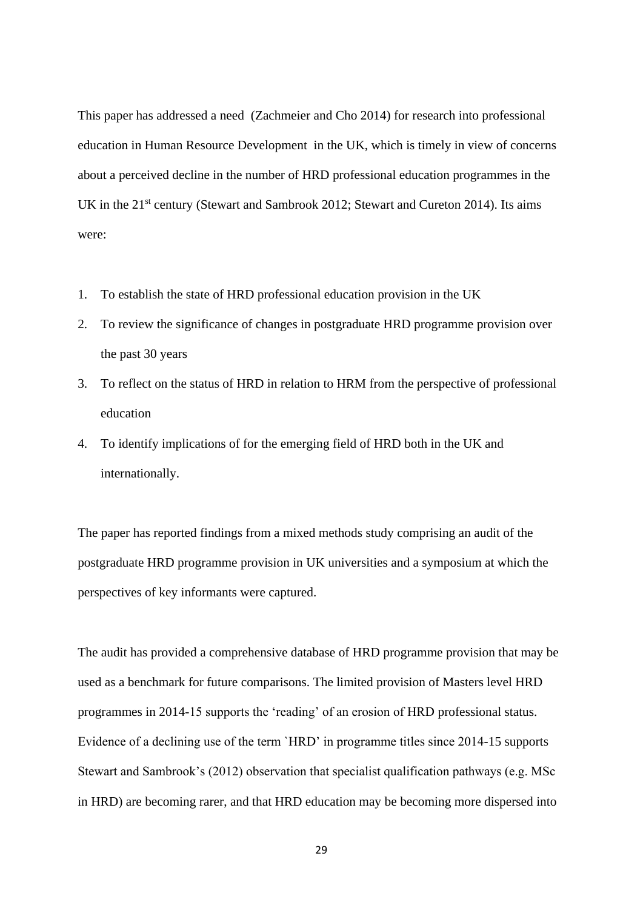This paper has addressed a need (Zachmeier and Cho 2014) for research into professional education in Human Resource Development in the UK, which is timely in view of concerns about a perceived decline in the number of HRD professional education programmes in the UK in the 21<sup>st</sup> century (Stewart and Sambrook 2012; Stewart and Cureton 2014). Its aims were:

- 1. To establish the state of HRD professional education provision in the UK
- 2. To review the significance of changes in postgraduate HRD programme provision over the past 30 years
- 3. To reflect on the status of HRD in relation to HRM from the perspective of professional education
- 4. To identify implications of for the emerging field of HRD both in the UK and internationally.

The paper has reported findings from a mixed methods study comprising an audit of the postgraduate HRD programme provision in UK universities and a symposium at which the perspectives of key informants were captured.

The audit has provided a comprehensive database of HRD programme provision that may be used as a benchmark for future comparisons. The limited provision of Masters level HRD programmes in 2014-15 supports the 'reading' of an erosion of HRD professional status. Evidence of a declining use of the term `HRD' in programme titles since 2014-15 supports Stewart and Sambrook's (2012) observation that specialist qualification pathways (e.g. MSc in HRD) are becoming rarer, and that HRD education may be becoming more dispersed into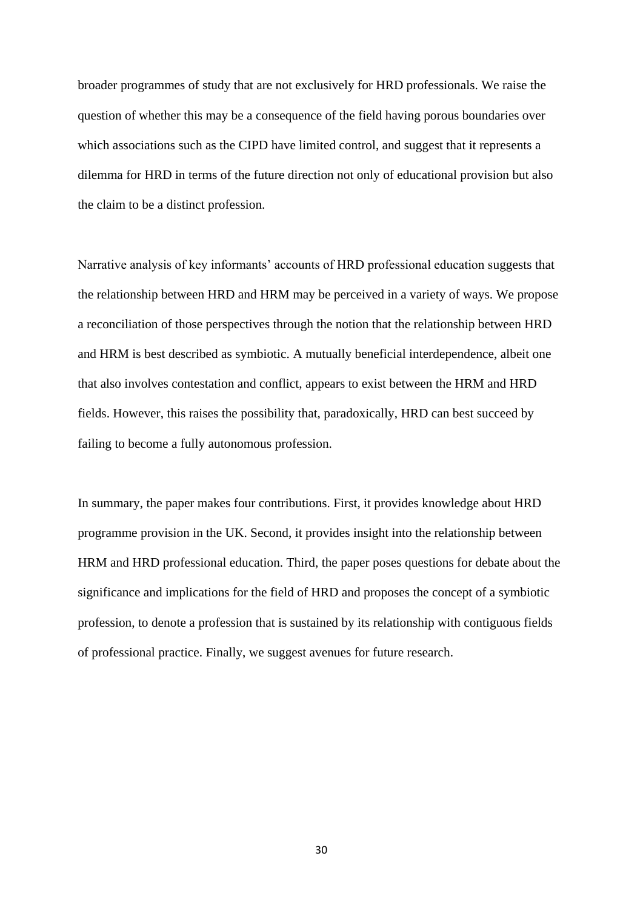broader programmes of study that are not exclusively for HRD professionals. We raise the question of whether this may be a consequence of the field having porous boundaries over which associations such as the CIPD have limited control, and suggest that it represents a dilemma for HRD in terms of the future direction not only of educational provision but also the claim to be a distinct profession.

Narrative analysis of key informants' accounts of HRD professional education suggests that the relationship between HRD and HRM may be perceived in a variety of ways. We propose a reconciliation of those perspectives through the notion that the relationship between HRD and HRM is best described as symbiotic. A mutually beneficial interdependence, albeit one that also involves contestation and conflict, appears to exist between the HRM and HRD fields. However, this raises the possibility that, paradoxically, HRD can best succeed by failing to become a fully autonomous profession.

In summary, the paper makes four contributions. First, it provides knowledge about HRD programme provision in the UK. Second, it provides insight into the relationship between HRM and HRD professional education. Third, the paper poses questions for debate about the significance and implications for the field of HRD and proposes the concept of a symbiotic profession, to denote a profession that is sustained by its relationship with contiguous fields of professional practice. Finally, we suggest avenues for future research.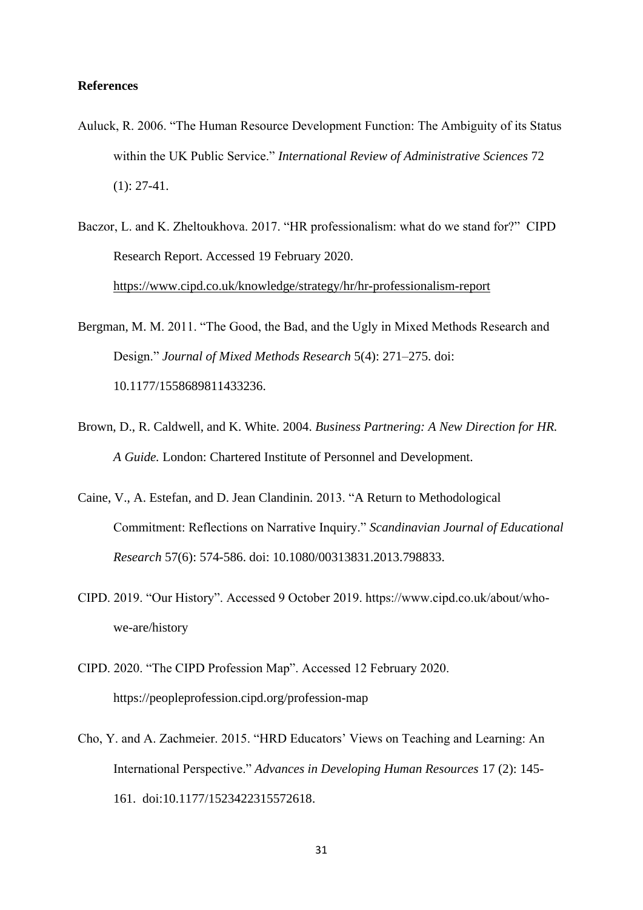### **References**

- Auluck, R. 2006. "The Human Resource Development Function: The Ambiguity of its Status within the UK Public Service." *International Review of Administrative Sciences* 72 (1): 27-41.
- Baczor, L. and K. Zheltoukhova. 2017. "HR professionalism: what do we stand for?" CIPD Research Report. Accessed 19 February 2020. <https://www.cipd.co.uk/knowledge/strategy/hr/hr-professionalism-report>
- Bergman, M. M. 2011. "The Good, the Bad, and the Ugly in Mixed Methods Research and Design." *Journal of Mixed Methods Research* 5(4): 271–275. [doi:](https://doi.org/10.1177/1558689811433236)  [10.1177/1558689811433236.](https://doi.org/10.1177/1558689811433236)
- Brown, D., R. Caldwell, and K. White. 2004. *Business Partnering: A New Direction for HR. A Guide.* London: Chartered Institute of Personnel and Development.
- Caine, V., A. Estefan, and D. Jean Clandinin. 2013. "A Return to Methodological Commitment: Reflections on Narrative Inquiry." *Scandinavian Journal of Educational Research* 57(6): 574-586. doi: [10.1080/00313831.2013.798833.](https://doi.org/10.1080/00313831.2013.798833)
- CIPD. 2019. "Our History". Accessed 9 October 2019. https://www.cipd.co.uk/about/whowe-are/history
- CIPD. 2020. "The CIPD Profession Map". Accessed 12 February 2020. https://peopleprofession.cipd.org/profession-map
- Cho, Y. and A. Zachmeier. 2015. "HRD Educators' Views on Teaching and Learning: An International Perspective." *Advances in Developing Human Resources* 17 (2): 145- 161. [doi:10.1177/1523422315572618.](https://doi.org/10.1177/1523422315572618)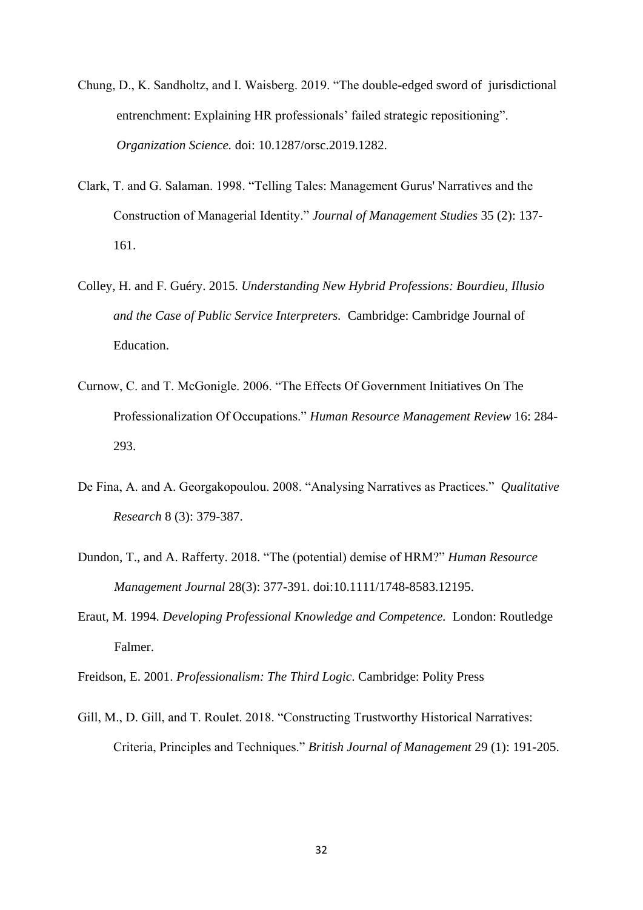- Chung, D., K. Sandholtz, and I. Waisberg. 2019. "The double-edged sword of jurisdictional entrenchment: Explaining HR professionals' failed strategic repositioning". *Organization Science.* doi: 10.1287/orsc.2019.1282.
- Clark, T. and G. Salaman. 1998. "Telling Tales: Management Gurus' Narratives and the Construction of Managerial Identity." *Journal of Management Studies* 35 (2): 137- 161.
- Colley, H. and F. Guéry. 2015. *Understanding New Hybrid Professions: Bourdieu, Illusio and the Case of Public Service Interpreters.* Cambridge: Cambridge Journal of Education.
- Curnow, C. and T. McGonigle. 2006. "The Effects Of Government Initiatives On The Professionalization Of Occupations." *Human Resource Management Review* 16: 284- 293.
- De Fina, A. and A. Georgakopoulou. 2008. "Analysing Narratives as Practices." *Qualitative Research* 8 (3): 379-387.
- Dundon, T., and A. Rafferty. 2018. "The (potential) demise of HRM?" *Human Resource Management Journal* 28(3): 377-391. doi:10.1111/1748-8583.12195.
- Eraut, M. 1994. *Developing Professional Knowledge and Competence.* London: Routledge Falmer.
- Freidson, E. 2001. *Professionalism: The Third Logic*. Cambridge: Polity Press
- Gill, M., D. Gill, and T. Roulet. 2018. "Constructing Trustworthy Historical Narratives: Criteria, Principles and Techniques." *British Journal of Management* 29 (1): 191-205.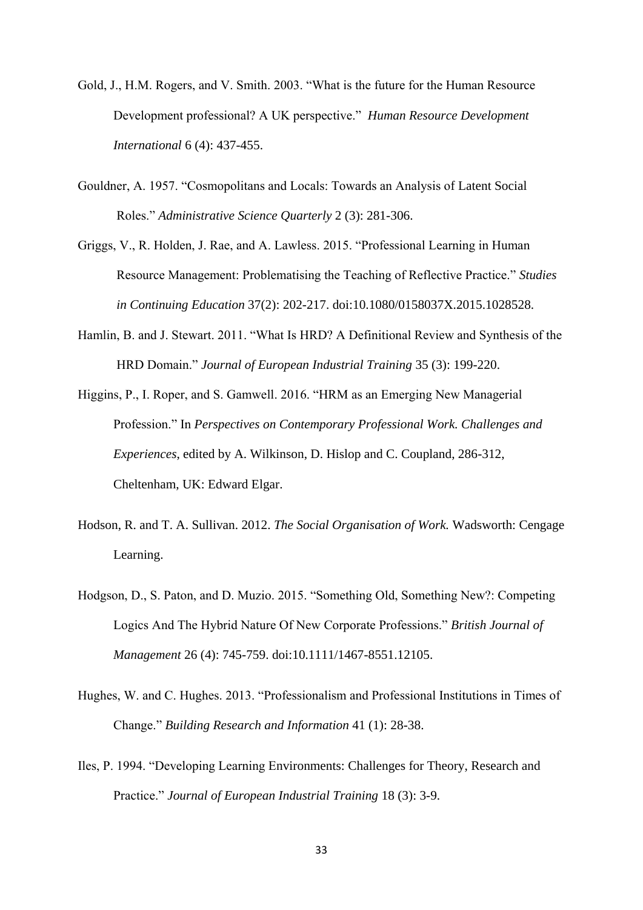- Gold, J., H.M. Rogers, and V. Smith. 2003. "What is the future for the Human Resource Development professional? A UK perspective." *Human Resource Development International* 6 (4): 437-455.
- Gouldner, A. 1957. "Cosmopolitans and Locals: Towards an Analysis of Latent Social Roles." *Administrative Science Quarterly* 2 (3): 281-306.
- Griggs, V., R. Holden, J. Rae, and A. Lawless. 2015. "Professional Learning in Human Resource Management: Problematising the Teaching of Reflective Practice." *Studies in Continuing Education* 37(2): 202-217. doi:10.1080/0158037X.2015.1028528.
- Hamlin, B. and J. Stewart. 2011. "What Is HRD? A Definitional Review and Synthesis of the HRD Domain." *Journal of European Industrial Training* 35 (3): 199-220.
- Higgins, P., I. Roper, and S. Gamwell. 2016. "HRM as an Emerging New Managerial Profession." In *Perspectives on Contemporary Professional Work. Challenges and Experiences*, edited by A. Wilkinson, D. Hislop and C. Coupland, 286-312, Cheltenham, UK: Edward Elgar.
- Hodson, R. and T. A. Sullivan. 2012. *The Social Organisation of Work.* Wadsworth: Cengage Learning.
- Hodgson, D., S. Paton, and D. Muzio. 2015. "Something Old, Something New?: Competing Logics And The Hybrid Nature Of New Corporate Professions." *British Journal of Management* 26 (4): 745-759. doi:10.1111/1467-8551.12105.
- Hughes, W. and C. Hughes. 2013. "Professionalism and Professional Institutions in Times of Change." *Building Research and Information* 41 (1): 28-38.
- Iles, P. 1994. "Developing Learning Environments: Challenges for Theory, Research and Practice." *Journal of European Industrial Training* 18 (3): 3-9.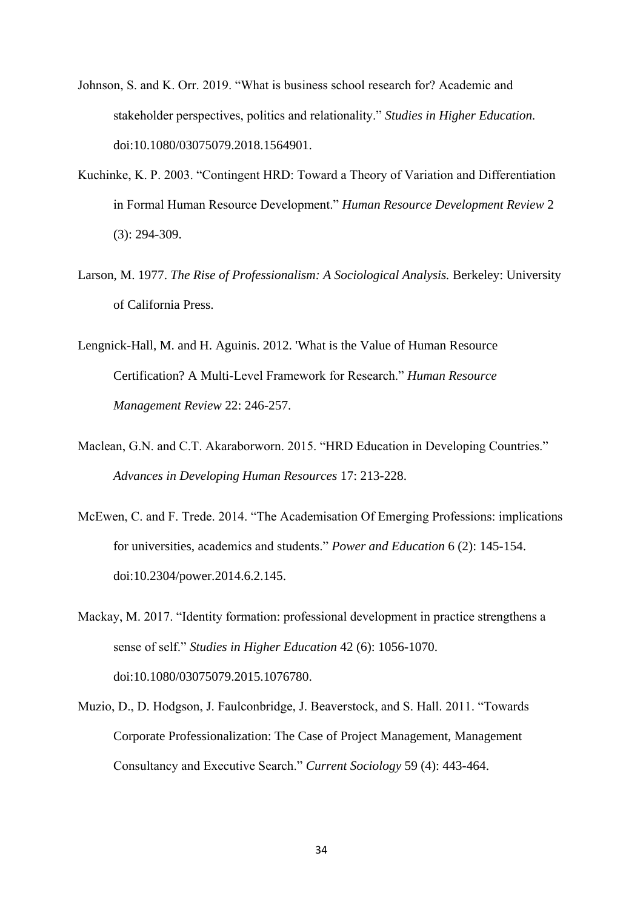- Johnson, S. and K. Orr. 2019. "What is business school research for? Academic and stakeholder perspectives, politics and relationality." *Studies in Higher Education.*  doi:10.1080/03075079.2018.1564901.
- Kuchinke, K. P. 2003. "Contingent HRD: Toward a Theory of Variation and Differentiation in Formal Human Resource Development." *Human Resource Development Review* 2 (3): 294-309.
- Larson, M. 1977. *The Rise of Professionalism: A Sociological Analysis.* Berkeley: University of California Press.
- Lengnick-Hall, M. and H. Aguinis. 2012. 'What is the Value of Human Resource Certification? A Multi-Level Framework for Research." *Human Resource Management Review* 22: 246-257.
- Maclean, G.N. and C.T. Akaraborworn. 2015. "HRD Education in Developing Countries." *Advances in Developing Human Resources* 17: 213-228.
- McEwen, C. and F. Trede. 2014. "The Academisation Of Emerging Professions: implications for universities, academics and students." *Power and Education* 6 (2): 145-154. doi:10.2304/power.2014.6.2.145.
- Mackay, M. 2017. "Identity formation: professional development in practice strengthens a sense of self." *Studies in Higher Education* 42 (6): 1056-1070. doi:10.1080/03075079.2015.1076780.
- Muzio, D., D. Hodgson, J. Faulconbridge, J. Beaverstock, and S. Hall. 2011. "Towards Corporate Professionalization: The Case of Project Management, Management Consultancy and Executive Search." *Current Sociology* 59 (4): 443-464.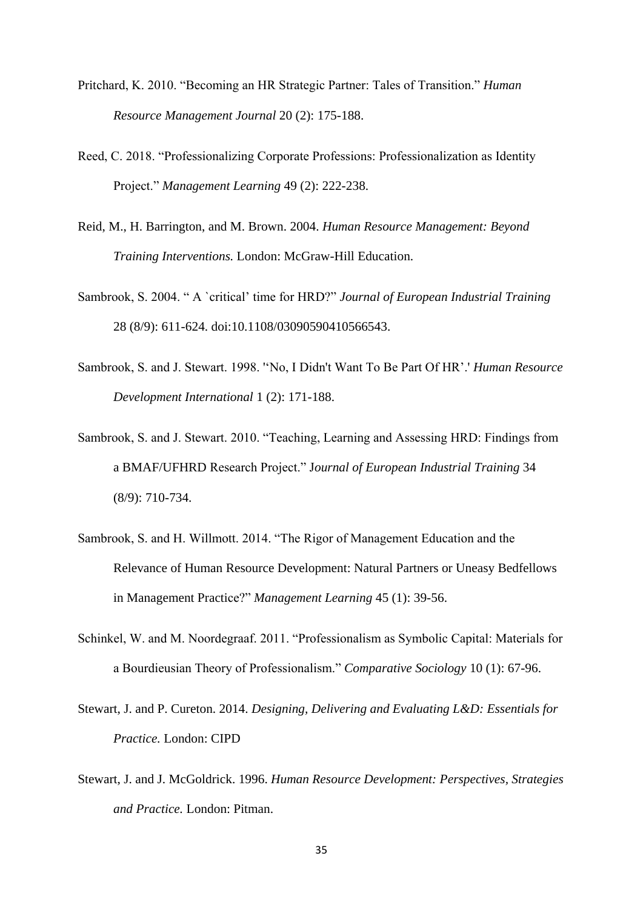- Pritchard, K. 2010. "Becoming an HR Strategic Partner: Tales of Transition." *Human Resource Management Journal* 20 (2): 175-188.
- Reed, C. 2018. "Professionalizing Corporate Professions: Professionalization as Identity Project." *Management Learning* 49 (2): 222-238.
- Reid, M., H. Barrington, and M. Brown. 2004. *Human Resource Management: Beyond Training Interventions.* London: McGraw-Hill Education.
- Sambrook, S. 2004. " A `critical' time for HRD?" *Journal of European Industrial Training* 28 (8/9): 611-624. doi:10.1108/03090590410566543.
- Sambrook, S. and J. Stewart. 1998. ''No, I Didn't Want To Be Part Of HR'.' *Human Resource Development International* 1 (2): 171-188.
- Sambrook, S. and J. Stewart. 2010. "Teaching, Learning and Assessing HRD: Findings from a BMAF/UFHRD Research Project." J*ournal of European Industrial Training* 34 (8/9): 710-734.
- Sambrook, S. and H. Willmott. 2014. "The Rigor of Management Education and the Relevance of Human Resource Development: Natural Partners or Uneasy Bedfellows in Management Practice?" *Management Learning* 45 (1): 39-56.
- Schinkel, W. and M. Noordegraaf. 2011. "Professionalism as Symbolic Capital: Materials for a Bourdieusian Theory of Professionalism." *Comparative Sociology* 10 (1): 67-96.
- Stewart, J. and P. Cureton. 2014. *Designing, Delivering and Evaluating L&D: Essentials for Practice.* London: CIPD
- Stewart, J. and J. McGoldrick. 1996. *Human Resource Development: Perspectives, Strategies and Practice.* London: Pitman.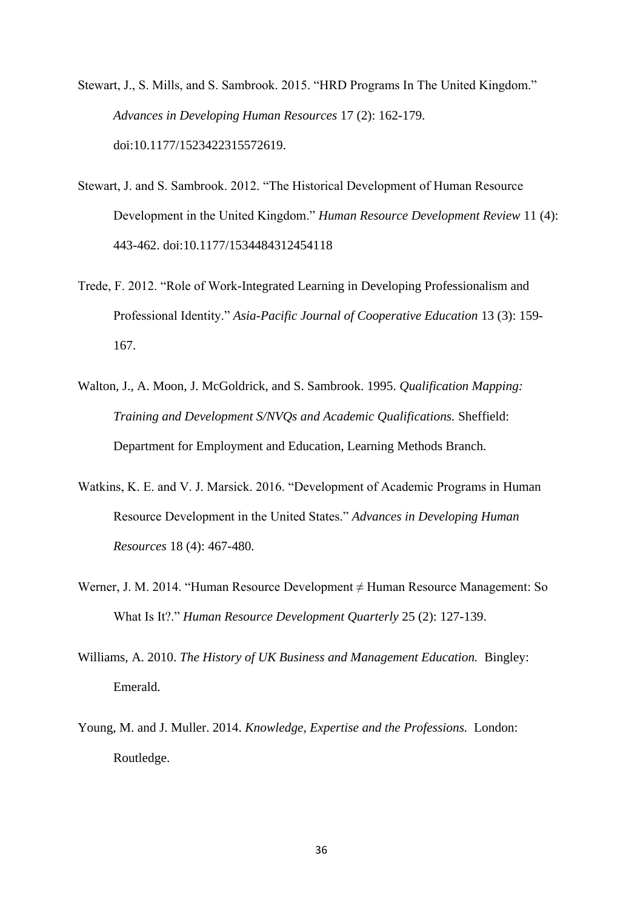- Stewart, J., S. Mills, and S. Sambrook. 2015. "HRD Programs In The United Kingdom." *Advances in Developing Human Resources* 17 (2): 162-179. doi:10.1177/1523422315572619.
- Stewart, J. and S. Sambrook. 2012. "The Historical Development of Human Resource Development in the United Kingdom." *Human Resource Development Review* 11 (4): 443-462. doi:10.1177/1534484312454118
- Trede, F. 2012. "Role of Work-Integrated Learning in Developing Professionalism and Professional Identity." *Asia-Pacific Journal of Cooperative Education* 13 (3): 159- 167.
- Walton, J., A. Moon, J. McGoldrick, and S. Sambrook. 1995. *Qualification Mapping: Training and Development S/NVQs and Academic Qualifications.* Sheffield: Department for Employment and Education, Learning Methods Branch.
- Watkins, K. E. and V. J. Marsick. 2016. "Development of Academic Programs in Human Resource Development in the United States." *Advances in Developing Human Resources* 18 (4): 467-480.
- Werner, J. M. 2014. "Human Resource Development ≠ Human Resource Management: So What Is It?." *Human Resource Development Quarterly* 25 (2): 127-139.
- Williams, A. 2010. *The History of UK Business and Management Education.* Bingley: Emerald.
- Young, M. and J. Muller. 2014. *Knowledge, Expertise and the Professions.* London: Routledge.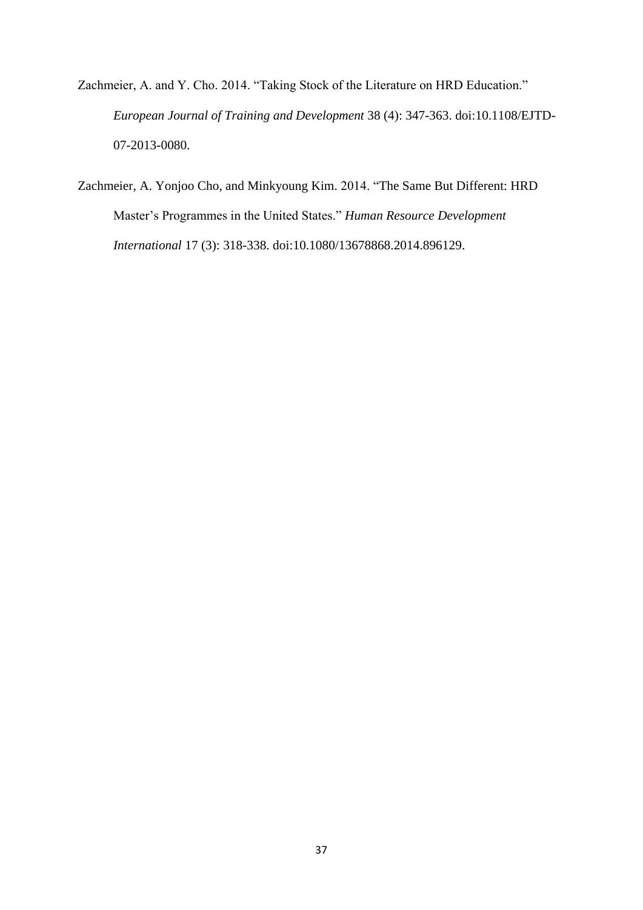- Zachmeier, A. and Y. Cho. 2014. "Taking Stock of the Literature on HRD Education." *European Journal of Training and Development* 38 (4): 347-363. doi:10.1108/EJTD-07-2013-0080.
- Zachmeier, A. Yonjoo Cho, and Minkyoung Kim. 2014. "The Same But Different: HRD Master's Programmes in the United States." *Human Resource Development International* 17 (3): 318-338. doi[:10.1080/13678868.2014.896129.](https://doi.org/10.1080/13678868.2014.896129)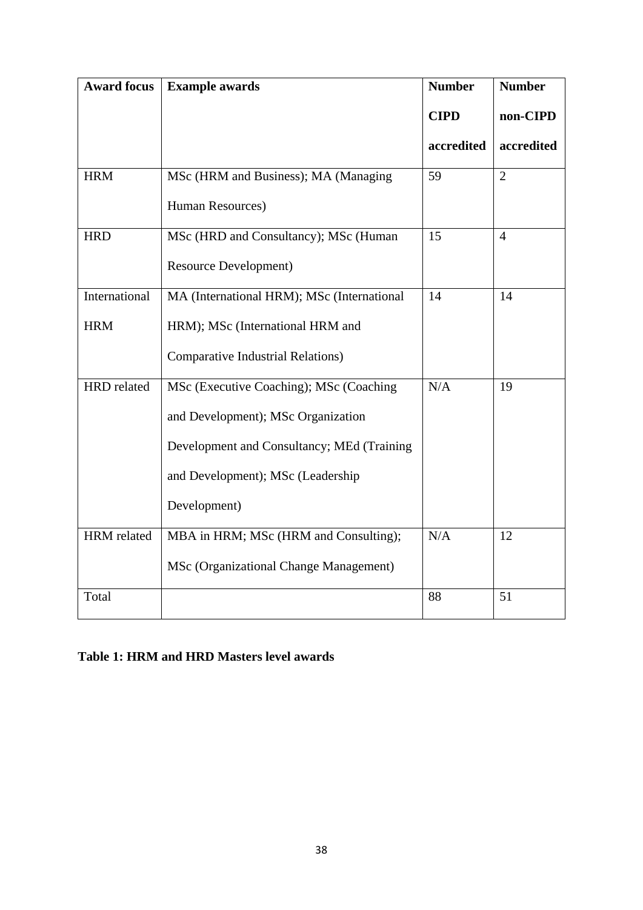| <b>Award focus</b> | <b>Example awards</b>                      | <b>Number</b> | <b>Number</b>  |
|--------------------|--------------------------------------------|---------------|----------------|
|                    |                                            | <b>CIPD</b>   | non-CIPD       |
|                    |                                            | accredited    | accredited     |
| <b>HRM</b>         | MSc (HRM and Business); MA (Managing       | 59            | $\overline{2}$ |
|                    | Human Resources)                           |               |                |
| <b>HRD</b>         | MSc (HRD and Consultancy); MSc (Human      | 15            | $\overline{4}$ |
|                    | <b>Resource Development)</b>               |               |                |
| International      | MA (International HRM); MSc (International | 14            | 14             |
| <b>HRM</b>         | HRM); MSc (International HRM and           |               |                |
|                    | <b>Comparative Industrial Relations)</b>   |               |                |
| HRD related        | MSc (Executive Coaching); MSc (Coaching    |               | 19             |
|                    | and Development); MSc Organization         |               |                |
|                    | Development and Consultancy; MEd (Training |               |                |
|                    | and Development); MSc (Leadership          |               |                |
|                    | Development)                               |               |                |
| HRM related        | MBA in HRM; MSc (HRM and Consulting);      | N/A           | 12             |
|                    | MSc (Organizational Change Management)     |               |                |
| Total              |                                            | 88            | 51             |

## **Table 1: HRM and HRD Masters level awards**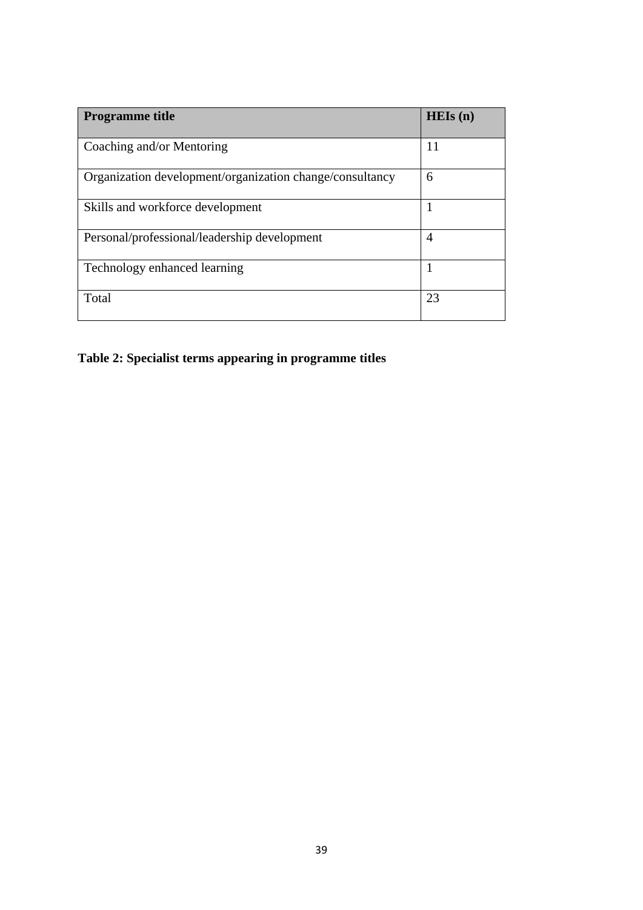| <b>Programme title</b>                                   | HEIs(n)        |
|----------------------------------------------------------|----------------|
| Coaching and/or Mentoring                                | 11             |
| Organization development/organization change/consultancy | 6              |
| Skills and workforce development                         | 1              |
| Personal/professional/leadership development             | $\overline{4}$ |
| Technology enhanced learning                             | 1              |
| Total                                                    | 23             |

**Table 2: Specialist terms appearing in programme titles**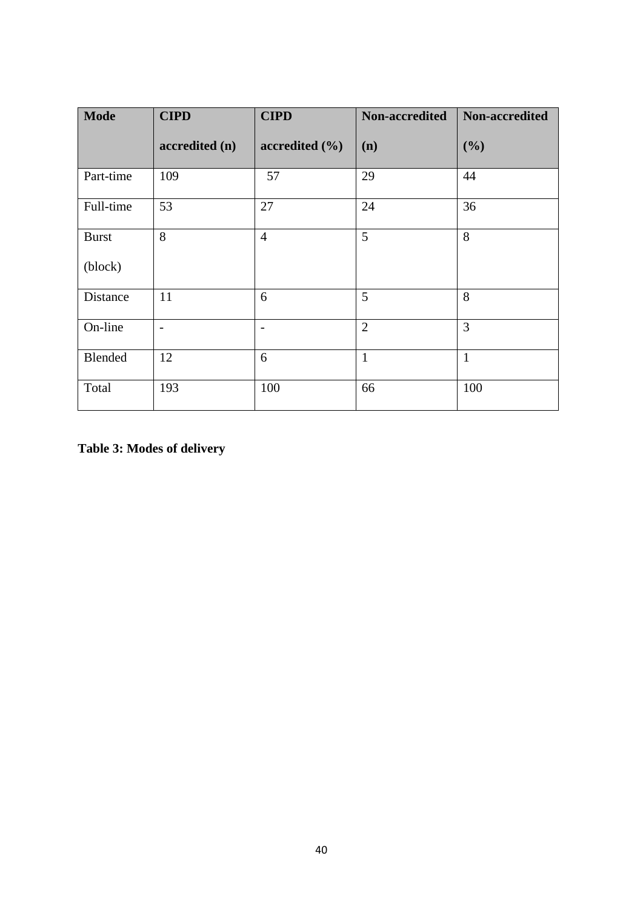| <b>Mode</b>             | <b>CIPD</b>    | <b>CIPD</b>        | Non-accredited | Non-accredited |
|-------------------------|----------------|--------------------|----------------|----------------|
|                         | accredited (n) | accredited $(\% )$ | (n)            | (%)            |
| Part-time               | 109            | 57                 | 29             | 44             |
| Full-time               | 53             | 27                 | 24             | 36             |
| <b>Burst</b><br>(block) | 8              | $\overline{4}$     | 5              | 8              |
| Distance                | 11             | 6                  | 5              | 8              |
| On-line                 | $\overline{a}$ |                    | $\overline{2}$ | $\overline{3}$ |
| Blended                 | 12             | 6                  | $\mathbf{1}$   | $\mathbf{1}$   |
| Total                   | 193            | 100                | 66             | 100            |

**Table 3: Modes of delivery**